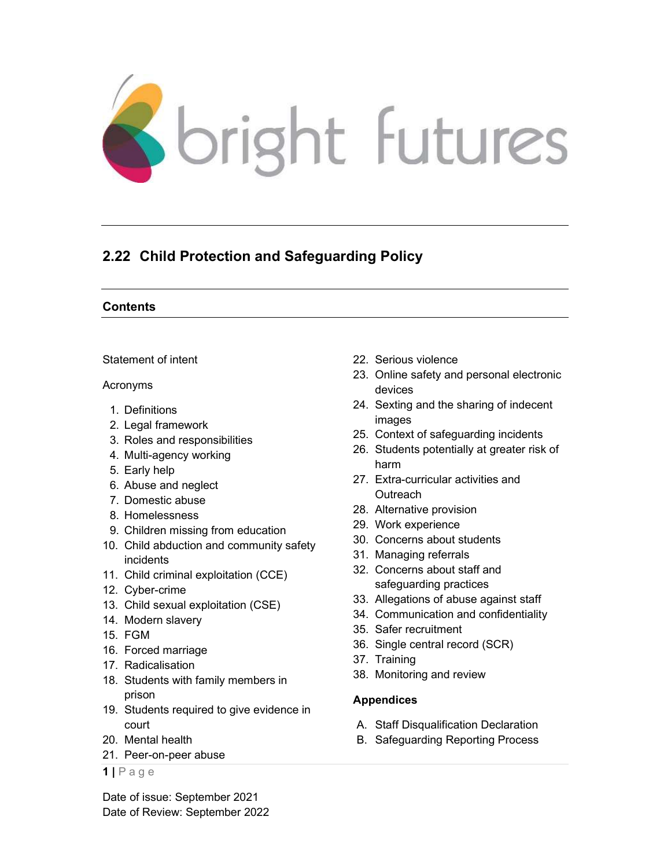

# 2.22 Child Protection and Safeguarding Policy

## **Contents**

Statement of intent

#### Acronyms

- 1. Definitions
- 2. Legal framework
- 3. Roles and responsibilities
- 4. Multi-agency working
- 5. Early help
- 6. Abuse and neglect
- 7. Domestic abuse
- 8. Homelessness
- 9. Children missing from education
- 10. Child abduction and community safety incidents
- 11. Child criminal exploitation (CCE)
- 12. Cyber-crime
- 13. Child sexual exploitation (CSE)
- 14. Modern slavery
- 15. FGM
- 16. Forced marriage
- 17. Radicalisation
- 18. Students with family members in prison
- 19. Students required to give evidence in court
- 20. Mental health
- 21. Peer-on-peer abuse
- $1 \mid P$  a g e

Date of issue: September 2021 Date of Review: September 2022

- 22. Serious violence
- 23. Online safety and personal electronic devices
- 24. Sexting and the sharing of indecent images
- 25. Context of safeguarding incidents
- 26. Students potentially at greater risk of harm
- 27. Extra-curricular activities and **Outreach**
- 28. Alternative provision
- 29. Work experience
- 30. Concerns about students
- 31. Managing referrals
- 32. Concerns about staff and safeguarding practices
- 33. Allegations of abuse against staff
- 34. Communication and confidentiality
- 35. Safer recruitment
- 36. Single central record (SCR)
- 37. Training
- 38. Monitoring and review

## Appendices

- A. Staff Disqualification Declaration
- B. Safeguarding Reporting Process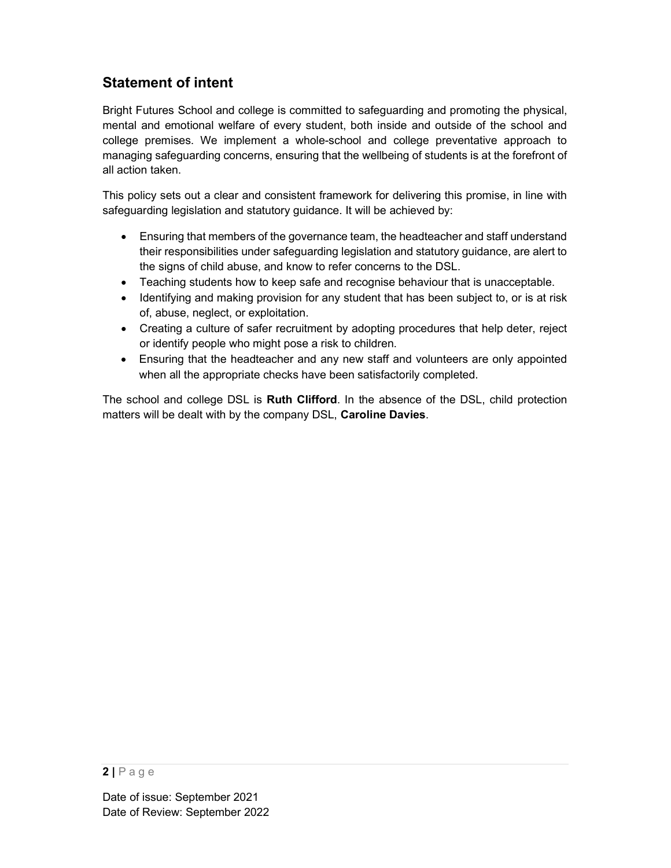# Statement of intent

Bright Futures School and college is committed to safeguarding and promoting the physical, mental and emotional welfare of every student, both inside and outside of the school and college premises. We implement a whole-school and college preventative approach to managing safeguarding concerns, ensuring that the wellbeing of students is at the forefront of all action taken.

This policy sets out a clear and consistent framework for delivering this promise, in line with safeguarding legislation and statutory guidance. It will be achieved by:

- Ensuring that members of the governance team, the headteacher and staff understand their responsibilities under safeguarding legislation and statutory guidance, are alert to the signs of child abuse, and know to refer concerns to the DSL.
- Teaching students how to keep safe and recognise behaviour that is unacceptable.
- Identifying and making provision for any student that has been subject to, or is at risk of, abuse, neglect, or exploitation.
- Creating a culture of safer recruitment by adopting procedures that help deter, reject or identify people who might pose a risk to children.
- Ensuring that the headteacher and any new staff and volunteers are only appointed when all the appropriate checks have been satisfactorily completed.

The school and college DSL is **Ruth Clifford**. In the absence of the DSL, child protection matters will be dealt with by the company DSL, Caroline Davies.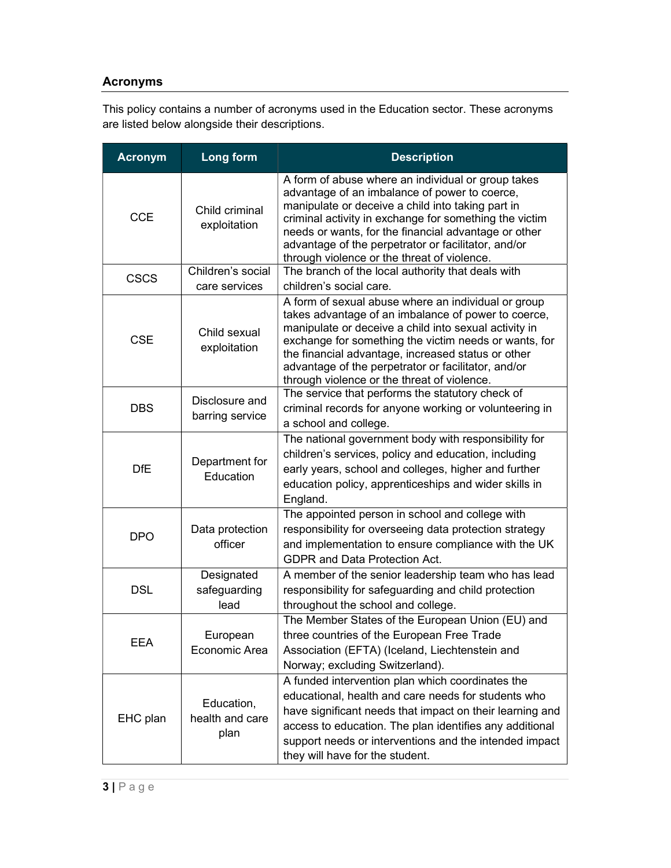## Acronyms

This policy contains a number of acronyms used in the Education sector. These acronyms are listed below alongside their descriptions.

| <b>Acronym</b> | Long form                             | <b>Description</b>                                                                                                                                                                                                                                                                                                                                                                                                  |  |
|----------------|---------------------------------------|---------------------------------------------------------------------------------------------------------------------------------------------------------------------------------------------------------------------------------------------------------------------------------------------------------------------------------------------------------------------------------------------------------------------|--|
| <b>CCE</b>     | Child criminal<br>exploitation        | A form of abuse where an individual or group takes<br>advantage of an imbalance of power to coerce,<br>manipulate or deceive a child into taking part in<br>criminal activity in exchange for something the victim<br>needs or wants, for the financial advantage or other<br>advantage of the perpetrator or facilitator, and/or<br>through violence or the threat of violence.                                    |  |
| <b>CSCS</b>    | Children's social<br>care services    | The branch of the local authority that deals with                                                                                                                                                                                                                                                                                                                                                                   |  |
| <b>CSE</b>     | Child sexual<br>exploitation          | children's social care.<br>A form of sexual abuse where an individual or group<br>takes advantage of an imbalance of power to coerce,<br>manipulate or deceive a child into sexual activity in<br>exchange for something the victim needs or wants, for<br>the financial advantage, increased status or other<br>advantage of the perpetrator or facilitator, and/or<br>through violence or the threat of violence. |  |
| <b>DBS</b>     | Disclosure and<br>barring service     | The service that performs the statutory check of<br>criminal records for anyone working or volunteering in<br>a school and college.                                                                                                                                                                                                                                                                                 |  |
| <b>DfE</b>     | Department for<br>Education           | The national government body with responsibility for<br>children's services, policy and education, including<br>early years, school and colleges, higher and further<br>education policy, apprenticeships and wider skills in<br>England.                                                                                                                                                                           |  |
| <b>DPO</b>     | Data protection<br>officer            | The appointed person in school and college with<br>responsibility for overseeing data protection strategy<br>and implementation to ensure compliance with the UK<br><b>GDPR and Data Protection Act.</b>                                                                                                                                                                                                            |  |
| <b>DSL</b>     | Designated<br>safeguarding<br>lead    | A member of the senior leadership team who has lead<br>responsibility for safeguarding and child protection<br>throughout the school and college.                                                                                                                                                                                                                                                                   |  |
| EEA            | European<br>Economic Area             | The Member States of the European Union (EU) and<br>three countries of the European Free Trade<br>Association (EFTA) (Iceland, Liechtenstein and<br>Norway; excluding Switzerland).                                                                                                                                                                                                                                 |  |
| EHC plan       | Education,<br>health and care<br>plan | A funded intervention plan which coordinates the<br>educational, health and care needs for students who<br>have significant needs that impact on their learning and<br>access to education. The plan identifies any additional<br>support needs or interventions and the intended impact<br>they will have for the student.                                                                                         |  |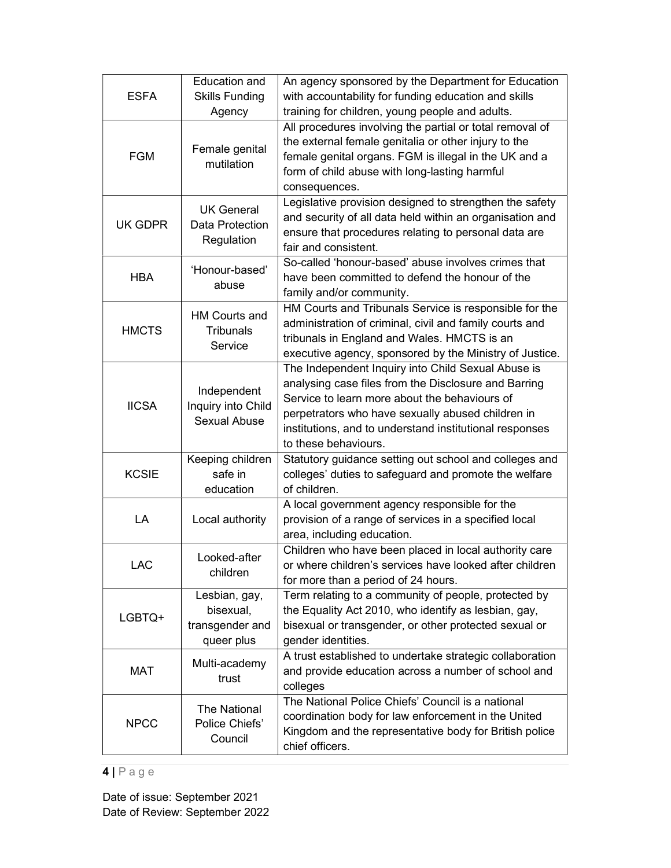| <b>ESFA</b>  | <b>Education and</b><br><b>Skills Funding</b>               | An agency sponsored by the Department for Education<br>with accountability for funding education and skills                                                                                                                                                                                         |  |  |
|--------------|-------------------------------------------------------------|-----------------------------------------------------------------------------------------------------------------------------------------------------------------------------------------------------------------------------------------------------------------------------------------------------|--|--|
|              | Agency                                                      | training for children, young people and adults.                                                                                                                                                                                                                                                     |  |  |
| <b>FGM</b>   | Female genital<br>mutilation                                | All procedures involving the partial or total removal of<br>the external female genitalia or other injury to the<br>female genital organs. FGM is illegal in the UK and a<br>form of child abuse with long-lasting harmful<br>consequences.                                                         |  |  |
| UK GDPR      | <b>UK General</b><br>Data Protection<br>Regulation          | Legislative provision designed to strengthen the safety<br>and security of all data held within an organisation and<br>ensure that procedures relating to personal data are<br>fair and consistent.                                                                                                 |  |  |
| <b>HBA</b>   | 'Honour-based'<br>abuse                                     | So-called 'honour-based' abuse involves crimes that<br>have been committed to defend the honour of the<br>family and/or community.                                                                                                                                                                  |  |  |
| <b>HMCTS</b> | <b>HM Courts and</b><br><b>Tribunals</b><br>Service         | HM Courts and Tribunals Service is responsible for the<br>administration of criminal, civil and family courts and<br>tribunals in England and Wales. HMCTS is an<br>executive agency, sponsored by the Ministry of Justice.                                                                         |  |  |
| <b>IICSA</b> | Independent<br>Inquiry into Child<br><b>Sexual Abuse</b>    | The Independent Inquiry into Child Sexual Abuse is<br>analysing case files from the Disclosure and Barring<br>Service to learn more about the behaviours of<br>perpetrators who have sexually abused children in<br>institutions, and to understand institutional responses<br>to these behaviours. |  |  |
| <b>KCSIE</b> | Keeping children<br>safe in<br>education                    | Statutory guidance setting out school and colleges and<br>colleges' duties to safeguard and promote the welfare<br>of children.                                                                                                                                                                     |  |  |
| LA           | Local authority                                             | A local government agency responsible for the<br>provision of a range of services in a specified local<br>area, including education.                                                                                                                                                                |  |  |
| <b>LAC</b>   | Looked-after<br>children                                    | Children who have been placed in local authority care<br>or where children's services have looked after children<br>for more than a period of 24 hours.                                                                                                                                             |  |  |
| LGBTQ+       | Lesbian, gay,<br>bisexual,<br>transgender and<br>queer plus | Term relating to a community of people, protected by<br>the Equality Act 2010, who identify as lesbian, gay,<br>bisexual or transgender, or other protected sexual or<br>gender identities.                                                                                                         |  |  |
| MAT          | Multi-academy<br>trust                                      | A trust established to undertake strategic collaboration<br>and provide education across a number of school and<br>colleges                                                                                                                                                                         |  |  |
| <b>NPCC</b>  | <b>The National</b><br>Police Chiefs'<br>Council            | The National Police Chiefs' Council is a national<br>coordination body for law enforcement in the United<br>Kingdom and the representative body for British police<br>chief officers.                                                                                                               |  |  |

## $4 | P \text{age}$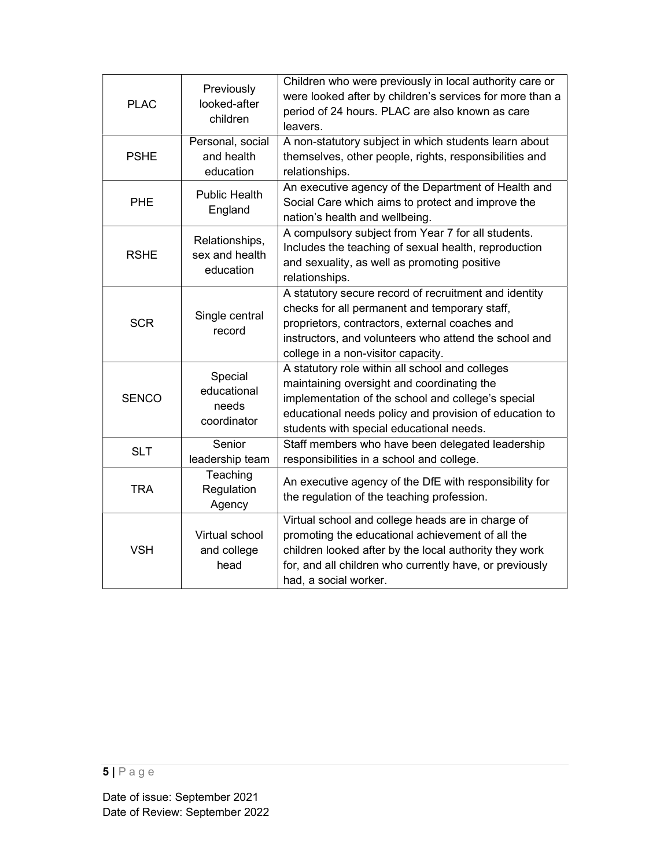| <b>PLAC</b>  | Previously<br>looked-after<br>children         | Children who were previously in local authority care or<br>were looked after by children's services for more than a<br>period of 24 hours. PLAC are also known as care<br>leavers.                                                                        |  |
|--------------|------------------------------------------------|-----------------------------------------------------------------------------------------------------------------------------------------------------------------------------------------------------------------------------------------------------------|--|
| <b>PSHE</b>  | Personal, social<br>and health<br>education    | A non-statutory subject in which students learn about<br>themselves, other people, rights, responsibilities and<br>relationships.                                                                                                                         |  |
| <b>PHE</b>   | <b>Public Health</b><br>England                | An executive agency of the Department of Health and<br>Social Care which aims to protect and improve the<br>nation's health and wellbeing.                                                                                                                |  |
| <b>RSHE</b>  | Relationships,<br>sex and health<br>education  | A compulsory subject from Year 7 for all students.<br>Includes the teaching of sexual health, reproduction<br>and sexuality, as well as promoting positive<br>relationships.                                                                              |  |
| <b>SCR</b>   | Single central<br>record                       | A statutory secure record of recruitment and identity<br>checks for all permanent and temporary staff,<br>proprietors, contractors, external coaches and<br>instructors, and volunteers who attend the school and<br>college in a non-visitor capacity.   |  |
| <b>SENCO</b> | Special<br>educational<br>needs<br>coordinator | A statutory role within all school and colleges<br>maintaining oversight and coordinating the<br>implementation of the school and college's special<br>educational needs policy and provision of education to<br>students with special educational needs. |  |
| <b>SLT</b>   | Senior<br>leadership team                      | Staff members who have been delegated leadership<br>responsibilities in a school and college.                                                                                                                                                             |  |
| <b>TRA</b>   | Teaching<br>Regulation<br>Agency               | An executive agency of the DfE with responsibility for<br>the regulation of the teaching profession.                                                                                                                                                      |  |
| <b>VSH</b>   | Virtual school<br>and college<br>head          | Virtual school and college heads are in charge of<br>promoting the educational achievement of all the<br>children looked after by the local authority they work<br>for, and all children who currently have, or previously<br>had, a social worker.       |  |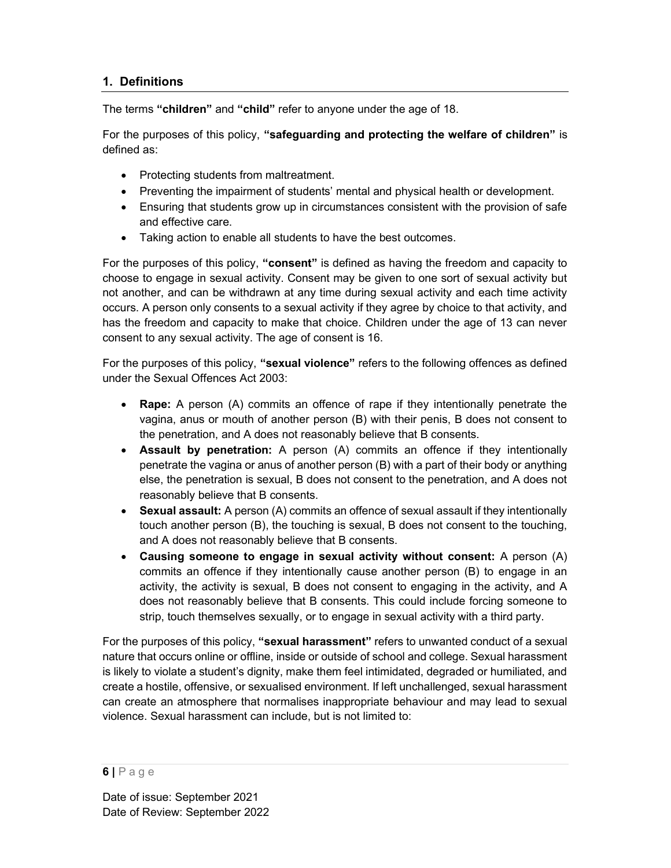## 1. Definitions

The terms "children" and "child" refer to anyone under the age of 18.

For the purposes of this policy, "safequarding and protecting the welfare of children" is defined as:

- Protecting students from maltreatment.
- Preventing the impairment of students' mental and physical health or development.
- Ensuring that students grow up in circumstances consistent with the provision of safe and effective care.
- Taking action to enable all students to have the best outcomes.

For the purposes of this policy, "consent" is defined as having the freedom and capacity to choose to engage in sexual activity. Consent may be given to one sort of sexual activity but not another, and can be withdrawn at any time during sexual activity and each time activity occurs. A person only consents to a sexual activity if they agree by choice to that activity, and has the freedom and capacity to make that choice. Children under the age of 13 can never consent to any sexual activity. The age of consent is 16.

For the purposes of this policy, "sexual violence" refers to the following offences as defined under the Sexual Offences Act 2003:

- Rape: A person (A) commits an offence of rape if they intentionally penetrate the vagina, anus or mouth of another person (B) with their penis, B does not consent to the penetration, and A does not reasonably believe that B consents.
- Assault by penetration: A person (A) commits an offence if they intentionally penetrate the vagina or anus of another person (B) with a part of their body or anything else, the penetration is sexual, B does not consent to the penetration, and A does not reasonably believe that B consents.
- Sexual assault: A person (A) commits an offence of sexual assault if they intentionally touch another person (B), the touching is sexual, B does not consent to the touching, and A does not reasonably believe that B consents.
- Causing someone to engage in sexual activity without consent: A person (A) commits an offence if they intentionally cause another person (B) to engage in an activity, the activity is sexual, B does not consent to engaging in the activity, and A does not reasonably believe that B consents. This could include forcing someone to strip, touch themselves sexually, or to engage in sexual activity with a third party.

For the purposes of this policy, "sexual harassment" refers to unwanted conduct of a sexual nature that occurs online or offline, inside or outside of school and college. Sexual harassment is likely to violate a student's dignity, make them feel intimidated, degraded or humiliated, and create a hostile, offensive, or sexualised environment. If left unchallenged, sexual harassment can create an atmosphere that normalises inappropriate behaviour and may lead to sexual violence. Sexual harassment can include, but is not limited to:

 $6$ | Page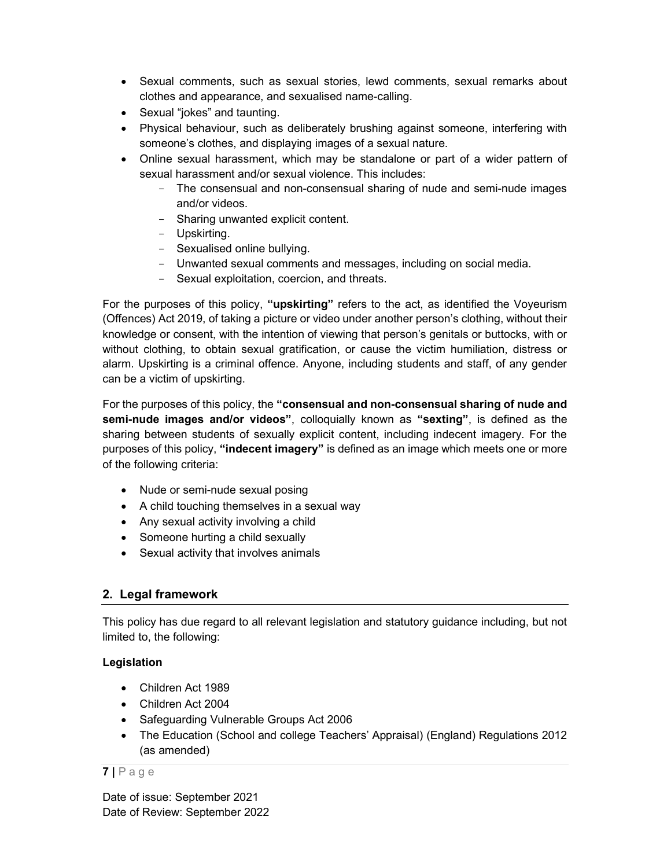- Sexual comments, such as sexual stories, lewd comments, sexual remarks about clothes and appearance, and sexualised name-calling.
- Sexual "jokes" and taunting.
- Physical behaviour, such as deliberately brushing against someone, interfering with someone's clothes, and displaying images of a sexual nature.
- Online sexual harassment, which may be standalone or part of a wider pattern of sexual harassment and/or sexual violence. This includes:
	- The consensual and non-consensual sharing of nude and semi-nude images and/or videos.
	- Sharing unwanted explicit content.
	- Upskirting.
	- Sexualised online bullying.
	- Unwanted sexual comments and messages, including on social media.
	- Sexual exploitation, coercion, and threats.

For the purposes of this policy, "upskirting" refers to the act, as identified the Voyeurism (Offences) Act 2019, of taking a picture or video under another person's clothing, without their knowledge or consent, with the intention of viewing that person's genitals or buttocks, with or without clothing, to obtain sexual gratification, or cause the victim humiliation, distress or alarm. Upskirting is a criminal offence. Anyone, including students and staff, of any gender can be a victim of upskirting.

For the purposes of this policy, the "consensual and non-consensual sharing of nude and semi-nude images and/or videos", colloquially known as "sexting", is defined as the sharing between students of sexually explicit content, including indecent imagery. For the purposes of this policy, "indecent imagery" is defined as an image which meets one or more of the following criteria:

- Nude or semi-nude sexual posing
- A child touching themselves in a sexual way
- Any sexual activity involving a child
- Someone hurting a child sexually
- Sexual activity that involves animals

## 2. Legal framework

This policy has due regard to all relevant legislation and statutory guidance including, but not limited to, the following:

### Legislation

- Children Act 1989
- Children Act 2004
- Safeguarding Vulnerable Groups Act 2006
- The Education (School and college Teachers' Appraisal) (England) Regulations 2012 (as amended)

### $7 P a g e$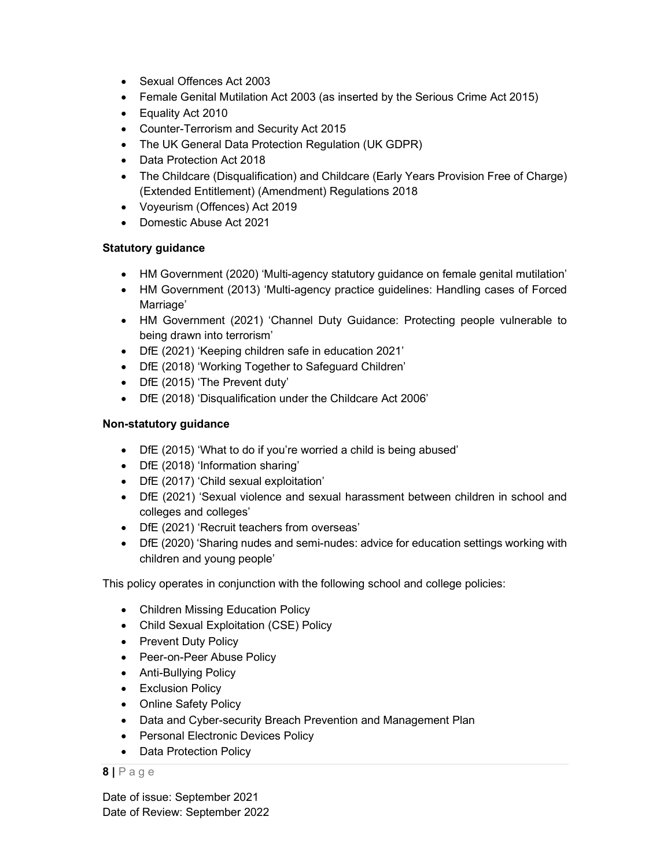- Sexual Offences Act 2003
- Female Genital Mutilation Act 2003 (as inserted by the Serious Crime Act 2015)
- Equality Act 2010
- Counter-Terrorism and Security Act 2015
- The UK General Data Protection Regulation (UK GDPR)
- Data Protection Act 2018
- The Childcare (Disqualification) and Childcare (Early Years Provision Free of Charge) (Extended Entitlement) (Amendment) Regulations 2018
- Voyeurism (Offences) Act 2019
- Domestic Abuse Act 2021

#### Statutory guidance

- HM Government (2020) 'Multi-agency statutory guidance on female genital mutilation'
- HM Government (2013) 'Multi-agency practice guidelines: Handling cases of Forced Marriage'
- HM Government (2021) 'Channel Duty Guidance: Protecting people vulnerable to being drawn into terrorism'
- DfE (2021) 'Keeping children safe in education 2021'
- DfE (2018) 'Working Together to Safeguard Children'
- DfE (2015) 'The Prevent duty'
- DfE (2018) 'Disqualification under the Childcare Act 2006'

#### Non-statutory guidance

- DfE (2015) 'What to do if you're worried a child is being abused'
- DfE (2018) 'Information sharing'
- DfE (2017) 'Child sexual exploitation'
- DfE (2021) 'Sexual violence and sexual harassment between children in school and colleges and colleges'
- DfE (2021) 'Recruit teachers from overseas'
- DfE (2020) 'Sharing nudes and semi-nudes: advice for education settings working with children and young people'

This policy operates in conjunction with the following school and college policies:

- Children Missing Education Policy
- Child Sexual Exploitation (CSE) Policy
- Prevent Duty Policy
- Peer-on-Peer Abuse Policy
- Anti-Bullying Policy
- **•** Exclusion Policy
- Online Safety Policy
- Data and Cyber-security Breach Prevention and Management Plan
- Personal Electronic Devices Policy
- Data Protection Policy

#### $8$  | P a g e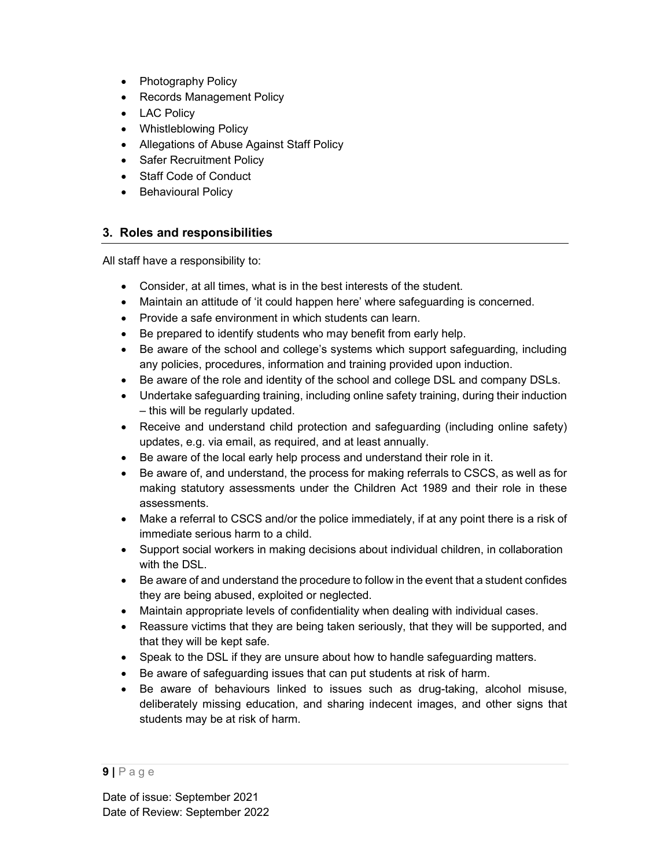- Photography Policy
- Records Management Policy
- LAC Policy
- Whistleblowing Policy
- Allegations of Abuse Against Staff Policy
- Safer Recruitment Policy
- Staff Code of Conduct
- Behavioural Policy

#### 3. Roles and responsibilities

All staff have a responsibility to:

- Consider, at all times, what is in the best interests of the student.
- Maintain an attitude of 'it could happen here' where safeguarding is concerned.
- Provide a safe environment in which students can learn.
- Be prepared to identify students who may benefit from early help.
- Be aware of the school and college's systems which support safeguarding, including any policies, procedures, information and training provided upon induction.
- Be aware of the role and identity of the school and college DSL and company DSLs.
- Undertake safeguarding training, including online safety training, during their induction – this will be regularly updated.
- Receive and understand child protection and safeguarding (including online safety) updates, e.g. via email, as required, and at least annually.
- Be aware of the local early help process and understand their role in it.
- Be aware of, and understand, the process for making referrals to CSCS, as well as for making statutory assessments under the Children Act 1989 and their role in these assessments.
- Make a referral to CSCS and/or the police immediately, if at any point there is a risk of immediate serious harm to a child.
- Support social workers in making decisions about individual children, in collaboration with the DSL.
- Be aware of and understand the procedure to follow in the event that a student confides they are being abused, exploited or neglected.
- Maintain appropriate levels of confidentiality when dealing with individual cases.
- Reassure victims that they are being taken seriously, that they will be supported, and that they will be kept safe.
- Speak to the DSL if they are unsure about how to handle safeguarding matters.
- Be aware of safeguarding issues that can put students at risk of harm.
- Be aware of behaviours linked to issues such as drug-taking, alcohol misuse, deliberately missing education, and sharing indecent images, and other signs that students may be at risk of harm.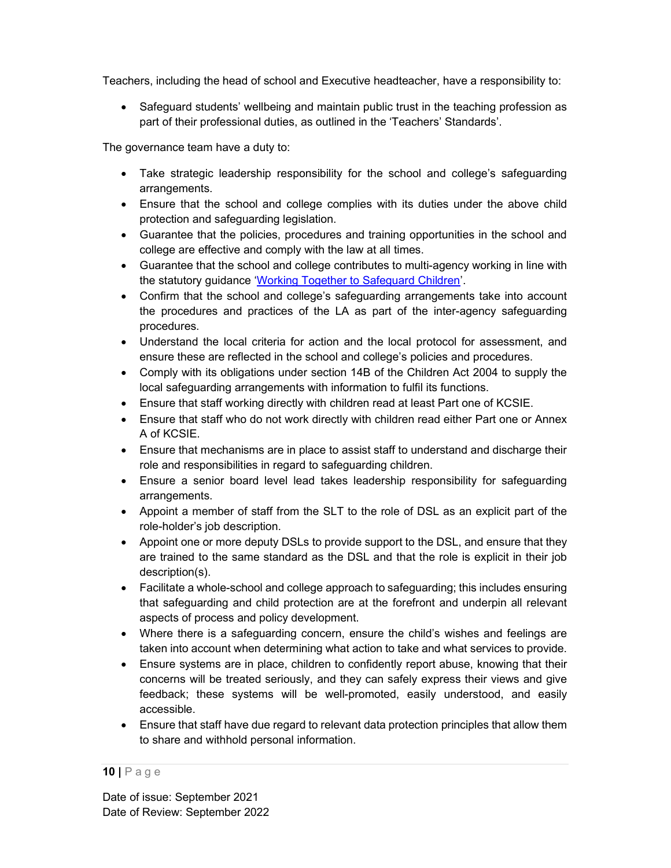Teachers, including the head of school and Executive headteacher, have a responsibility to:

• Safeguard students' wellbeing and maintain public trust in the teaching profession as part of their professional duties, as outlined in the 'Teachers' Standards'.

The governance team have a duty to:

- Take strategic leadership responsibility for the school and college's safeguarding arrangements.
- Ensure that the school and college complies with its duties under the above child protection and safeguarding legislation.
- Guarantee that the policies, procedures and training opportunities in the school and college are effective and comply with the law at all times.
- Guarantee that the school and college contributes to multi-agency working in line with the statutory guidance 'Working Together to Safeguard Children'.
- Confirm that the school and college's safeguarding arrangements take into account the procedures and practices of the LA as part of the inter-agency safeguarding procedures.
- Understand the local criteria for action and the local protocol for assessment, and ensure these are reflected in the school and college's policies and procedures.
- Comply with its obligations under section 14B of the Children Act 2004 to supply the local safeguarding arrangements with information to fulfil its functions.
- Ensure that staff working directly with children read at least Part one of KCSIE.
- Ensure that staff who do not work directly with children read either Part one or Annex A of KCSIE.
- Ensure that mechanisms are in place to assist staff to understand and discharge their role and responsibilities in regard to safeguarding children.
- Ensure a senior board level lead takes leadership responsibility for safeguarding arrangements.
- Appoint a member of staff from the SLT to the role of DSL as an explicit part of the role-holder's job description.
- Appoint one or more deputy DSLs to provide support to the DSL, and ensure that they are trained to the same standard as the DSL and that the role is explicit in their job description(s).
- Facilitate a whole-school and college approach to safeguarding; this includes ensuring that safeguarding and child protection are at the forefront and underpin all relevant aspects of process and policy development.
- Where there is a safeguarding concern, ensure the child's wishes and feelings are taken into account when determining what action to take and what services to provide.
- Ensure systems are in place, children to confidently report abuse, knowing that their concerns will be treated seriously, and they can safely express their views and give feedback; these systems will be well-promoted, easily understood, and easily accessible.
- Ensure that staff have due regard to relevant data protection principles that allow them to share and withhold personal information.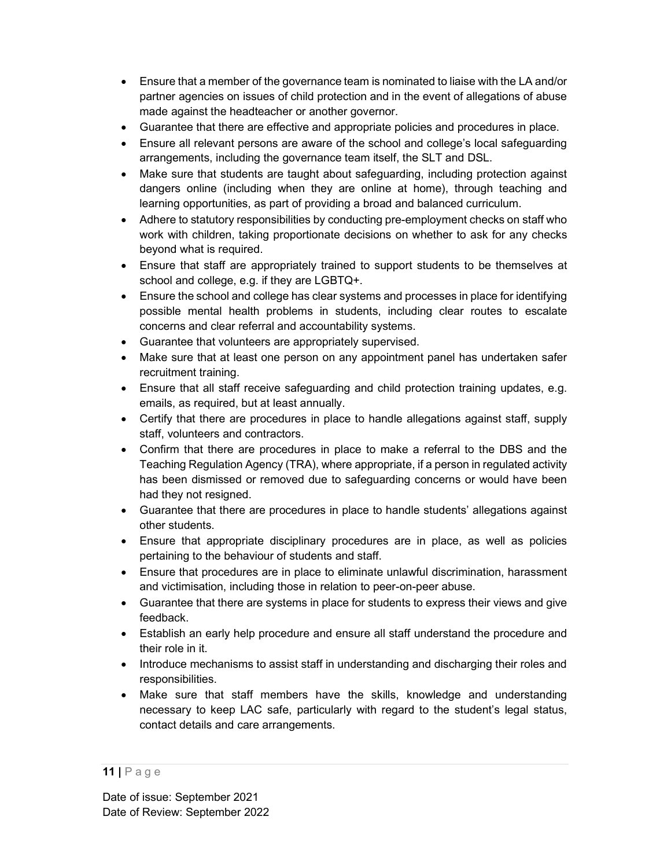- Ensure that a member of the governance team is nominated to liaise with the LA and/or partner agencies on issues of child protection and in the event of allegations of abuse made against the headteacher or another governor.
- Guarantee that there are effective and appropriate policies and procedures in place.
- Ensure all relevant persons are aware of the school and college's local safeguarding arrangements, including the governance team itself, the SLT and DSL.
- Make sure that students are taught about safeguarding, including protection against dangers online (including when they are online at home), through teaching and learning opportunities, as part of providing a broad and balanced curriculum.
- Adhere to statutory responsibilities by conducting pre-employment checks on staff who work with children, taking proportionate decisions on whether to ask for any checks beyond what is required.
- Ensure that staff are appropriately trained to support students to be themselves at school and college, e.g. if they are LGBTQ+.
- Ensure the school and college has clear systems and processes in place for identifying possible mental health problems in students, including clear routes to escalate concerns and clear referral and accountability systems.
- Guarantee that volunteers are appropriately supervised.
- Make sure that at least one person on any appointment panel has undertaken safer recruitment training.
- Ensure that all staff receive safeguarding and child protection training updates, e.g. emails, as required, but at least annually.
- Certify that there are procedures in place to handle allegations against staff, supply staff, volunteers and contractors.
- Confirm that there are procedures in place to make a referral to the DBS and the Teaching Regulation Agency (TRA), where appropriate, if a person in regulated activity has been dismissed or removed due to safeguarding concerns or would have been had they not resigned.
- Guarantee that there are procedures in place to handle students' allegations against other students.
- Ensure that appropriate disciplinary procedures are in place, as well as policies pertaining to the behaviour of students and staff.
- Ensure that procedures are in place to eliminate unlawful discrimination, harassment and victimisation, including those in relation to peer-on-peer abuse.
- Guarantee that there are systems in place for students to express their views and give feedback.
- Establish an early help procedure and ensure all staff understand the procedure and their role in it.
- Introduce mechanisms to assist staff in understanding and discharging their roles and responsibilities.
- Make sure that staff members have the skills, knowledge and understanding necessary to keep LAC safe, particularly with regard to the student's legal status, contact details and care arrangements.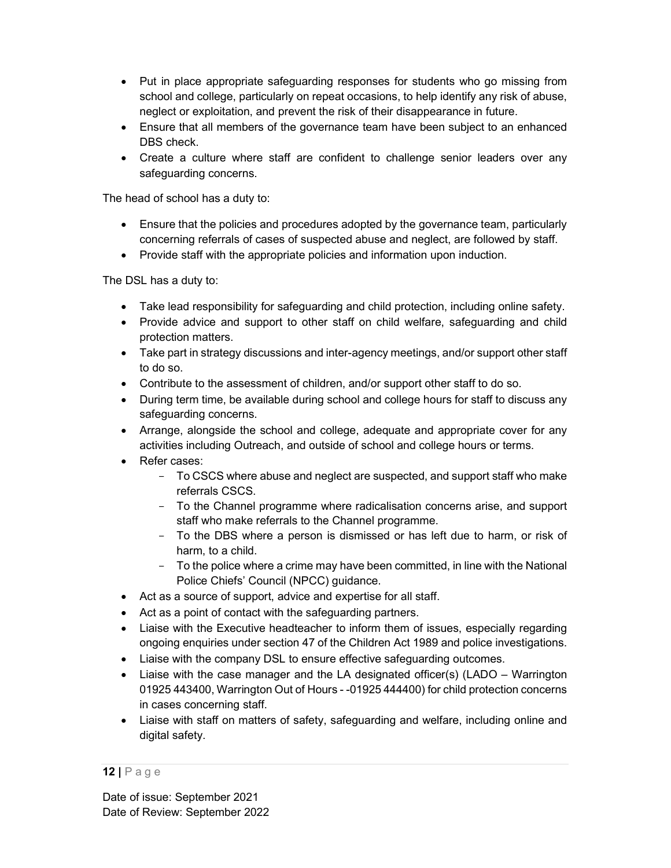- Put in place appropriate safeguarding responses for students who go missing from school and college, particularly on repeat occasions, to help identify any risk of abuse, neglect or exploitation, and prevent the risk of their disappearance in future.
- Ensure that all members of the governance team have been subject to an enhanced DBS check.
- Create a culture where staff are confident to challenge senior leaders over any safeguarding concerns.

The head of school has a duty to:

- Ensure that the policies and procedures adopted by the governance team, particularly concerning referrals of cases of suspected abuse and neglect, are followed by staff.
- Provide staff with the appropriate policies and information upon induction.

The DSL has a duty to:

- Take lead responsibility for safeguarding and child protection, including online safety.
- Provide advice and support to other staff on child welfare, safeguarding and child protection matters.
- Take part in strategy discussions and inter-agency meetings, and/or support other staff to do so.
- Contribute to the assessment of children, and/or support other staff to do so.
- During term time, be available during school and college hours for staff to discuss any safeguarding concerns.
- Arrange, alongside the school and college, adequate and appropriate cover for any activities including Outreach, and outside of school and college hours or terms.
- Refer cases:
	- To CSCS where abuse and neglect are suspected, and support staff who make referrals CSCS.
	- To the Channel programme where radicalisation concerns arise, and support staff who make referrals to the Channel programme.
	- To the DBS where a person is dismissed or has left due to harm, or risk of harm, to a child.
	- To the police where a crime may have been committed, in line with the National Police Chiefs' Council (NPCC) guidance.
- Act as a source of support, advice and expertise for all staff.
- Act as a point of contact with the safeguarding partners.
- Liaise with the Executive headteacher to inform them of issues, especially regarding ongoing enquiries under section 47 of the Children Act 1989 and police investigations.
- Liaise with the company DSL to ensure effective safeguarding outcomes.
- Liaise with the case manager and the LA designated officer(s) (LADO Warrington 01925 443400, Warrington Out of Hours - -01925 444400) for child protection concerns in cases concerning staff.
- Liaise with staff on matters of safety, safeguarding and welfare, including online and digital safety.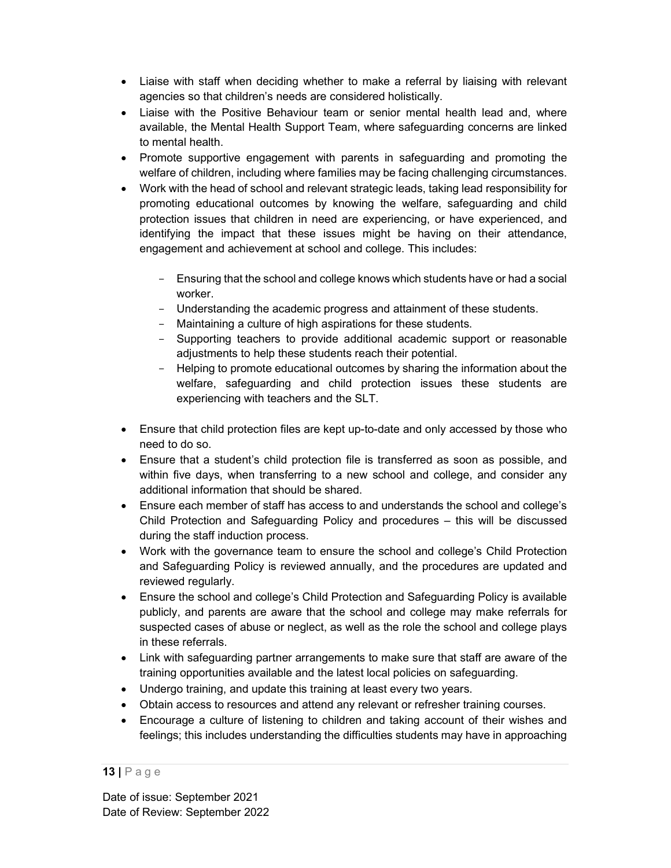- Liaise with staff when deciding whether to make a referral by liaising with relevant agencies so that children's needs are considered holistically.
- Liaise with the Positive Behaviour team or senior mental health lead and, where available, the Mental Health Support Team, where safeguarding concerns are linked to mental health.
- Promote supportive engagement with parents in safeguarding and promoting the welfare of children, including where families may be facing challenging circumstances.
- Work with the head of school and relevant strategic leads, taking lead responsibility for promoting educational outcomes by knowing the welfare, safeguarding and child protection issues that children in need are experiencing, or have experienced, and identifying the impact that these issues might be having on their attendance, engagement and achievement at school and college. This includes:
	- Ensuring that the school and college knows which students have or had a social worker.
	- Understanding the academic progress and attainment of these students.
	- Maintaining a culture of high aspirations for these students.
	- Supporting teachers to provide additional academic support or reasonable adjustments to help these students reach their potential.
	- Helping to promote educational outcomes by sharing the information about the welfare, safeguarding and child protection issues these students are experiencing with teachers and the SLT.
- Ensure that child protection files are kept up-to-date and only accessed by those who need to do so.
- Ensure that a student's child protection file is transferred as soon as possible, and within five days, when transferring to a new school and college, and consider any additional information that should be shared.
- Ensure each member of staff has access to and understands the school and college's Child Protection and Safeguarding Policy and procedures – this will be discussed during the staff induction process.
- Work with the governance team to ensure the school and college's Child Protection and Safeguarding Policy is reviewed annually, and the procedures are updated and reviewed regularly.
- Ensure the school and college's Child Protection and Safeguarding Policy is available publicly, and parents are aware that the school and college may make referrals for suspected cases of abuse or neglect, as well as the role the school and college plays in these referrals.
- Link with safeguarding partner arrangements to make sure that staff are aware of the training opportunities available and the latest local policies on safeguarding.
- Undergo training, and update this training at least every two years.
- Obtain access to resources and attend any relevant or refresher training courses.
- Encourage a culture of listening to children and taking account of their wishes and feelings; this includes understanding the difficulties students may have in approaching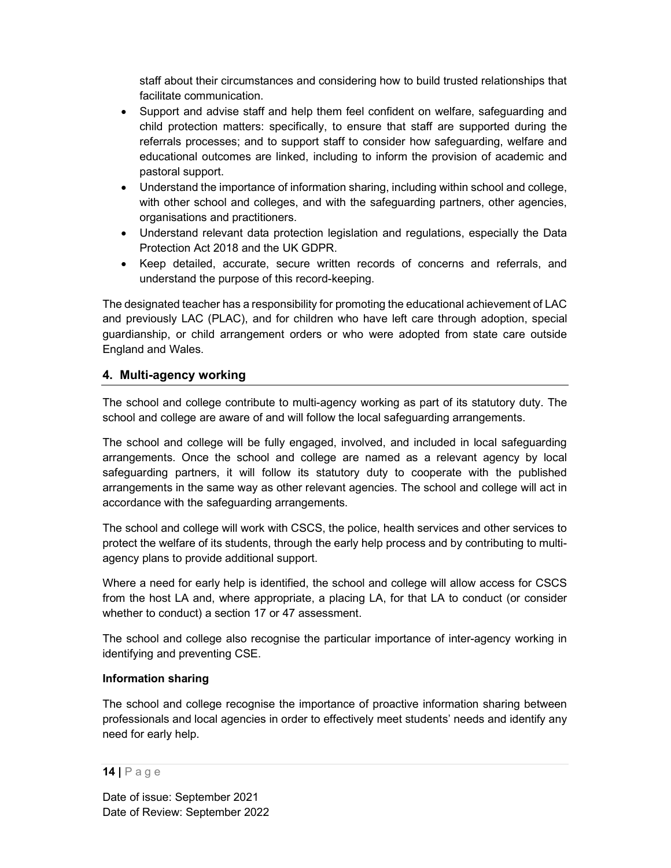staff about their circumstances and considering how to build trusted relationships that facilitate communication.

- Support and advise staff and help them feel confident on welfare, safeguarding and child protection matters: specifically, to ensure that staff are supported during the referrals processes; and to support staff to consider how safeguarding, welfare and educational outcomes are linked, including to inform the provision of academic and pastoral support.
- Understand the importance of information sharing, including within school and college, with other school and colleges, and with the safeguarding partners, other agencies, organisations and practitioners.
- Understand relevant data protection legislation and regulations, especially the Data Protection Act 2018 and the UK GDPR.
- Keep detailed, accurate, secure written records of concerns and referrals, and understand the purpose of this record-keeping.

The designated teacher has a responsibility for promoting the educational achievement of LAC and previously LAC (PLAC), and for children who have left care through adoption, special guardianship, or child arrangement orders or who were adopted from state care outside England and Wales.

## 4. Multi-agency working

The school and college contribute to multi-agency working as part of its statutory duty. The school and college are aware of and will follow the local safeguarding arrangements.

The school and college will be fully engaged, involved, and included in local safeguarding arrangements. Once the school and college are named as a relevant agency by local safeguarding partners, it will follow its statutory duty to cooperate with the published arrangements in the same way as other relevant agencies. The school and college will act in accordance with the safeguarding arrangements.

The school and college will work with CSCS, the police, health services and other services to protect the welfare of its students, through the early help process and by contributing to multiagency plans to provide additional support.

Where a need for early help is identified, the school and college will allow access for CSCS from the host LA and, where appropriate, a placing LA, for that LA to conduct (or consider whether to conduct) a section 17 or 47 assessment.

The school and college also recognise the particular importance of inter-agency working in identifying and preventing CSE.

#### Information sharing

The school and college recognise the importance of proactive information sharing between professionals and local agencies in order to effectively meet students' needs and identify any need for early help.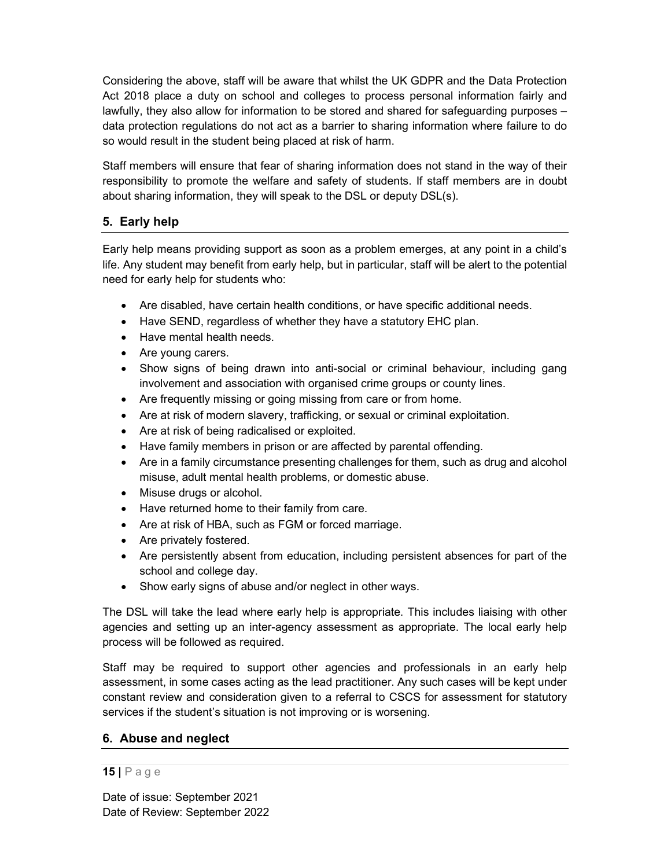Considering the above, staff will be aware that whilst the UK GDPR and the Data Protection Act 2018 place a duty on school and colleges to process personal information fairly and lawfully, they also allow for information to be stored and shared for safeguarding purposes – data protection regulations do not act as a barrier to sharing information where failure to do so would result in the student being placed at risk of harm.

Staff members will ensure that fear of sharing information does not stand in the way of their responsibility to promote the welfare and safety of students. If staff members are in doubt about sharing information, they will speak to the DSL or deputy DSL(s).

## 5. Early help

Early help means providing support as soon as a problem emerges, at any point in a child's life. Any student may benefit from early help, but in particular, staff will be alert to the potential need for early help for students who:

- Are disabled, have certain health conditions, or have specific additional needs.
- Have SEND, regardless of whether they have a statutory EHC plan.
- Have mental health needs.
- Are young carers.
- Show signs of being drawn into anti-social or criminal behaviour, including gang involvement and association with organised crime groups or county lines.
- Are frequently missing or going missing from care or from home.
- Are at risk of modern slavery, trafficking, or sexual or criminal exploitation.
- Are at risk of being radicalised or exploited.
- Have family members in prison or are affected by parental offending.
- Are in a family circumstance presenting challenges for them, such as drug and alcohol misuse, adult mental health problems, or domestic abuse.
- Misuse drugs or alcohol.
- Have returned home to their family from care.
- Are at risk of HBA, such as FGM or forced marriage.
- Are privately fostered.
- Are persistently absent from education, including persistent absences for part of the school and college day.
- Show early signs of abuse and/or neglect in other ways.

The DSL will take the lead where early help is appropriate. This includes liaising with other agencies and setting up an inter-agency assessment as appropriate. The local early help process will be followed as required.

Staff may be required to support other agencies and professionals in an early help assessment, in some cases acting as the lead practitioner. Any such cases will be kept under constant review and consideration given to a referral to CSCS for assessment for statutory services if the student's situation is not improving or is worsening.

## 6. Abuse and neglect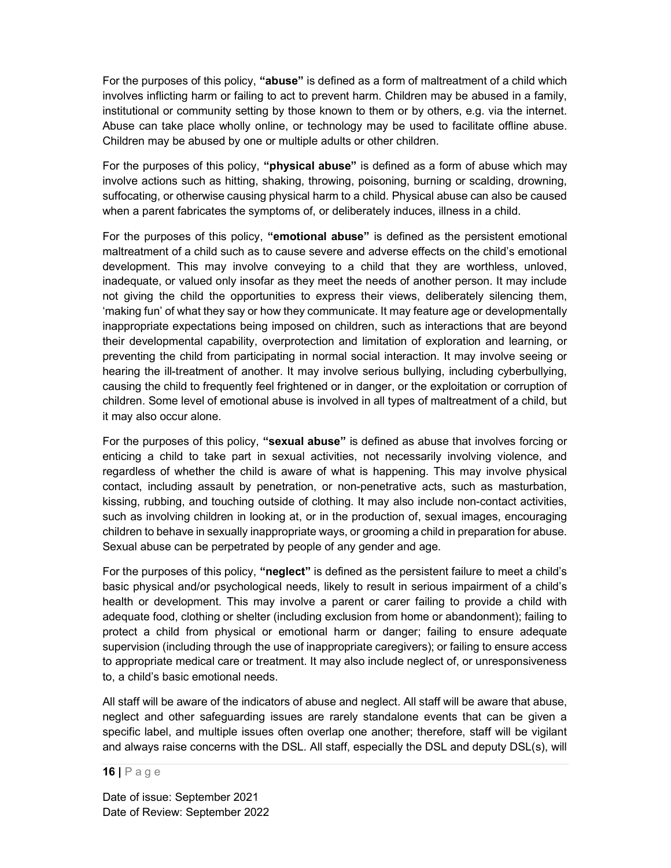For the purposes of this policy, "**abuse**" is defined as a form of maltreatment of a child which involves inflicting harm or failing to act to prevent harm. Children may be abused in a family, institutional or community setting by those known to them or by others, e.g. via the internet. Abuse can take place wholly online, or technology may be used to facilitate offline abuse. Children may be abused by one or multiple adults or other children.

For the purposes of this policy, "**physical abuse**" is defined as a form of abuse which may involve actions such as hitting, shaking, throwing, poisoning, burning or scalding, drowning, suffocating, or otherwise causing physical harm to a child. Physical abuse can also be caused when a parent fabricates the symptoms of, or deliberately induces, illness in a child.

For the purposes of this policy, "emotional abuse" is defined as the persistent emotional maltreatment of a child such as to cause severe and adverse effects on the child's emotional development. This may involve conveying to a child that they are worthless, unloved, inadequate, or valued only insofar as they meet the needs of another person. It may include not giving the child the opportunities to express their views, deliberately silencing them, 'making fun' of what they say or how they communicate. It may feature age or developmentally inappropriate expectations being imposed on children, such as interactions that are beyond their developmental capability, overprotection and limitation of exploration and learning, or preventing the child from participating in normal social interaction. It may involve seeing or hearing the ill-treatment of another. It may involve serious bullying, including cyberbullying, causing the child to frequently feel frightened or in danger, or the exploitation or corruption of children. Some level of emotional abuse is involved in all types of maltreatment of a child, but it may also occur alone.

For the purposes of this policy, "sexual abuse" is defined as abuse that involves forcing or enticing a child to take part in sexual activities, not necessarily involving violence, and regardless of whether the child is aware of what is happening. This may involve physical contact, including assault by penetration, or non-penetrative acts, such as masturbation, kissing, rubbing, and touching outside of clothing. It may also include non-contact activities, such as involving children in looking at, or in the production of, sexual images, encouraging children to behave in sexually inappropriate ways, or grooming a child in preparation for abuse. Sexual abuse can be perpetrated by people of any gender and age.

For the purposes of this policy, "neglect" is defined as the persistent failure to meet a child's basic physical and/or psychological needs, likely to result in serious impairment of a child's health or development. This may involve a parent or carer failing to provide a child with adequate food, clothing or shelter (including exclusion from home or abandonment); failing to protect a child from physical or emotional harm or danger; failing to ensure adequate supervision (including through the use of inappropriate caregivers); or failing to ensure access to appropriate medical care or treatment. It may also include neglect of, or unresponsiveness to, a child's basic emotional needs.

All staff will be aware of the indicators of abuse and neglect. All staff will be aware that abuse, neglect and other safeguarding issues are rarely standalone events that can be given a specific label, and multiple issues often overlap one another; therefore, staff will be vigilant and always raise concerns with the DSL. All staff, especially the DSL and deputy DSL(s), will

16 | P a g e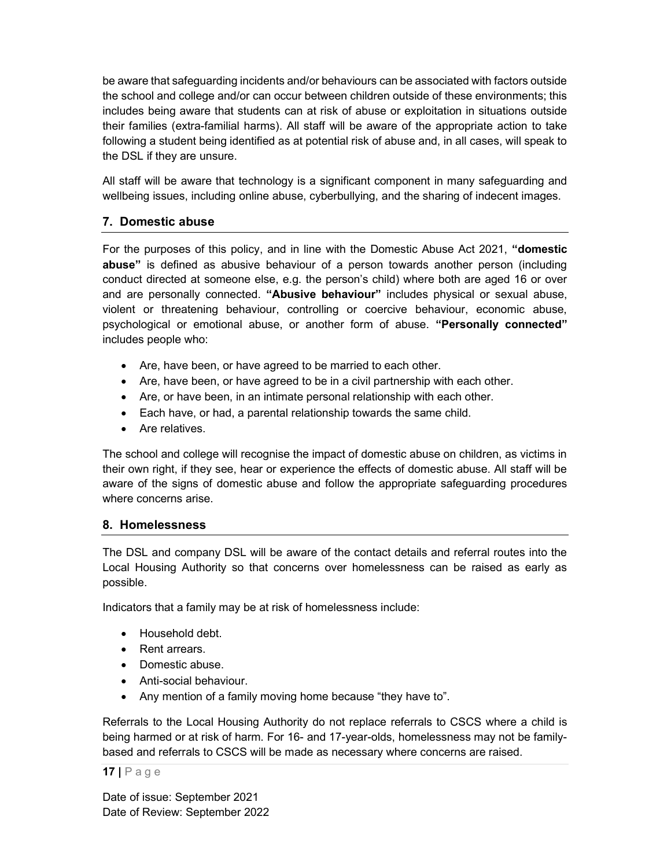be aware that safeguarding incidents and/or behaviours can be associated with factors outside the school and college and/or can occur between children outside of these environments; this includes being aware that students can at risk of abuse or exploitation in situations outside their families (extra-familial harms). All staff will be aware of the appropriate action to take following a student being identified as at potential risk of abuse and, in all cases, will speak to the DSL if they are unsure.

All staff will be aware that technology is a significant component in many safeguarding and wellbeing issues, including online abuse, cyberbullying, and the sharing of indecent images.

#### 7. Domestic abuse

For the purposes of this policy, and in line with the Domestic Abuse Act 2021, "domestic abuse" is defined as abusive behaviour of a person towards another person (including conduct directed at someone else, e.g. the person's child) where both are aged 16 or over and are personally connected. "Abusive behaviour" includes physical or sexual abuse, violent or threatening behaviour, controlling or coercive behaviour, economic abuse, psychological or emotional abuse, or another form of abuse. "Personally connected" includes people who:

- Are, have been, or have agreed to be married to each other.
- Are, have been, or have agreed to be in a civil partnership with each other.
- Are, or have been, in an intimate personal relationship with each other.
- Each have, or had, a parental relationship towards the same child.
- Are relatives.

The school and college will recognise the impact of domestic abuse on children, as victims in their own right, if they see, hear or experience the effects of domestic abuse. All staff will be aware of the signs of domestic abuse and follow the appropriate safeguarding procedures where concerns arise.

#### 8. Homelessness

The DSL and company DSL will be aware of the contact details and referral routes into the Local Housing Authority so that concerns over homelessness can be raised as early as possible.

Indicators that a family may be at risk of homelessness include:

- Household debt.
- Rent arrears.
- Domestic abuse.
- Anti-social behaviour.
- Any mention of a family moving home because "they have to".

Referrals to the Local Housing Authority do not replace referrals to CSCS where a child is being harmed or at risk of harm. For 16- and 17-year-olds, homelessness may not be familybased and referrals to CSCS will be made as necessary where concerns are raised.

17 | P a g e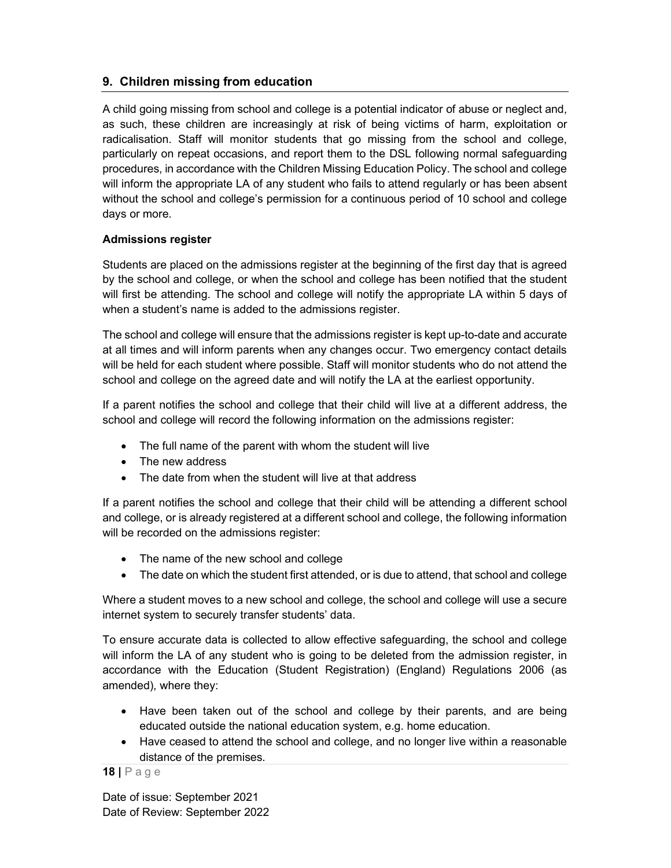## 9. Children missing from education

A child going missing from school and college is a potential indicator of abuse or neglect and, as such, these children are increasingly at risk of being victims of harm, exploitation or radicalisation. Staff will monitor students that go missing from the school and college, particularly on repeat occasions, and report them to the DSL following normal safeguarding procedures, in accordance with the Children Missing Education Policy. The school and college will inform the appropriate LA of any student who fails to attend regularly or has been absent without the school and college's permission for a continuous period of 10 school and college days or more.

### Admissions register

Students are placed on the admissions register at the beginning of the first day that is agreed by the school and college, or when the school and college has been notified that the student will first be attending. The school and college will notify the appropriate LA within 5 days of when a student's name is added to the admissions register.

The school and college will ensure that the admissions register is kept up-to-date and accurate at all times and will inform parents when any changes occur. Two emergency contact details will be held for each student where possible. Staff will monitor students who do not attend the school and college on the agreed date and will notify the LA at the earliest opportunity.

If a parent notifies the school and college that their child will live at a different address, the school and college will record the following information on the admissions register:

- The full name of the parent with whom the student will live
- The new address
- The date from when the student will live at that address

If a parent notifies the school and college that their child will be attending a different school and college, or is already registered at a different school and college, the following information will be recorded on the admissions register:

- The name of the new school and college
- The date on which the student first attended, or is due to attend, that school and college

Where a student moves to a new school and college, the school and college will use a secure internet system to securely transfer students' data.

To ensure accurate data is collected to allow effective safeguarding, the school and college will inform the LA of any student who is going to be deleted from the admission register, in accordance with the Education (Student Registration) (England) Regulations 2006 (as amended), where they:

- Have been taken out of the school and college by their parents, and are being educated outside the national education system, e.g. home education.
- Have ceased to attend the school and college, and no longer live within a reasonable distance of the premises.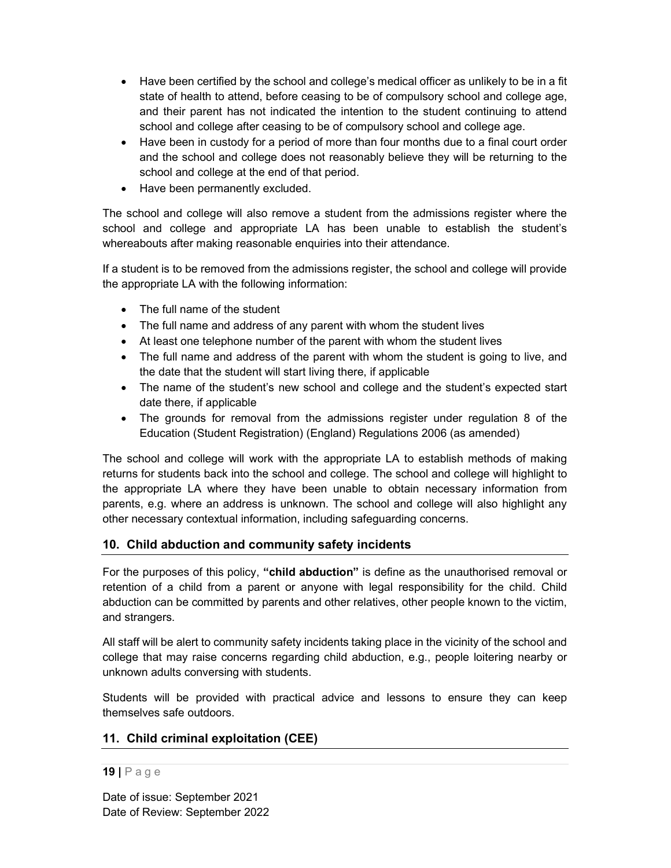- Have been certified by the school and college's medical officer as unlikely to be in a fit state of health to attend, before ceasing to be of compulsory school and college age, and their parent has not indicated the intention to the student continuing to attend school and college after ceasing to be of compulsory school and college age.
- Have been in custody for a period of more than four months due to a final court order and the school and college does not reasonably believe they will be returning to the school and college at the end of that period.
- Have been permanently excluded.

The school and college will also remove a student from the admissions register where the school and college and appropriate LA has been unable to establish the student's whereabouts after making reasonable enquiries into their attendance.

If a student is to be removed from the admissions register, the school and college will provide the appropriate LA with the following information:

- The full name of the student
- The full name and address of any parent with whom the student lives
- At least one telephone number of the parent with whom the student lives
- The full name and address of the parent with whom the student is going to live, and the date that the student will start living there, if applicable
- The name of the student's new school and college and the student's expected start date there, if applicable
- The grounds for removal from the admissions register under regulation 8 of the Education (Student Registration) (England) Regulations 2006 (as amended)

The school and college will work with the appropriate LA to establish methods of making returns for students back into the school and college. The school and college will highlight to the appropriate LA where they have been unable to obtain necessary information from parents, e.g. where an address is unknown. The school and college will also highlight any other necessary contextual information, including safeguarding concerns.

## 10. Child abduction and community safety incidents

For the purposes of this policy, "child abduction" is define as the unauthorised removal or retention of a child from a parent or anyone with legal responsibility for the child. Child abduction can be committed by parents and other relatives, other people known to the victim, and strangers.

All staff will be alert to community safety incidents taking place in the vicinity of the school and college that may raise concerns regarding child abduction, e.g., people loitering nearby or unknown adults conversing with students.

Students will be provided with practical advice and lessons to ensure they can keep themselves safe outdoors.

## 11. Child criminal exploitation (CEE)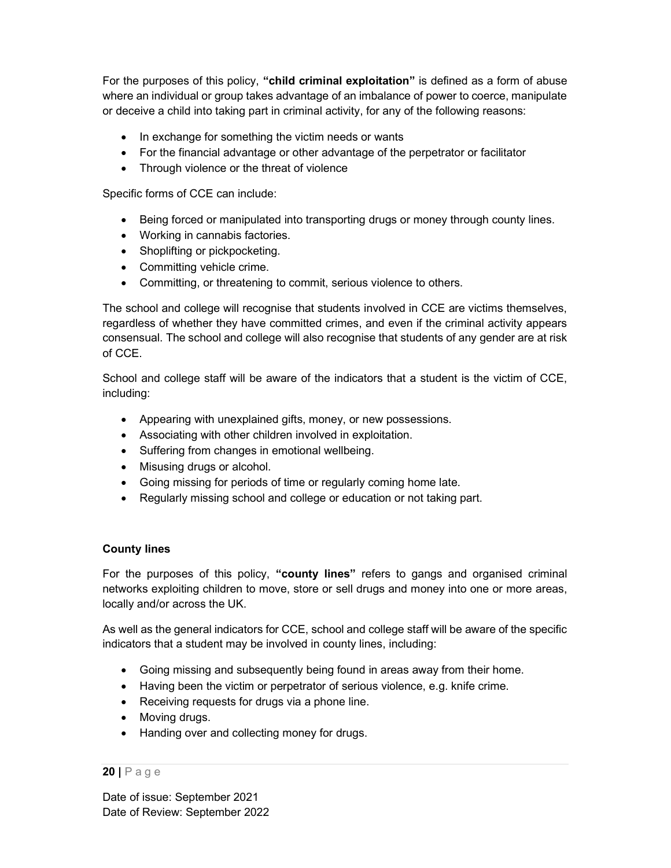For the purposes of this policy, "child criminal exploitation" is defined as a form of abuse where an individual or group takes advantage of an imbalance of power to coerce, manipulate or deceive a child into taking part in criminal activity, for any of the following reasons:

- In exchange for something the victim needs or wants
- For the financial advantage or other advantage of the perpetrator or facilitator
- Through violence or the threat of violence

Specific forms of CCE can include:

- Being forced or manipulated into transporting drugs or money through county lines.
- Working in cannabis factories.
- Shoplifting or pickpocketing.
- Committing vehicle crime.
- Committing, or threatening to commit, serious violence to others.

The school and college will recognise that students involved in CCE are victims themselves, regardless of whether they have committed crimes, and even if the criminal activity appears consensual. The school and college will also recognise that students of any gender are at risk of CCE.

School and college staff will be aware of the indicators that a student is the victim of CCE, including:

- Appearing with unexplained gifts, money, or new possessions.
- Associating with other children involved in exploitation.
- Suffering from changes in emotional wellbeing.
- Misusing drugs or alcohol.
- Going missing for periods of time or regularly coming home late.
- Regularly missing school and college or education or not taking part.

#### County lines

For the purposes of this policy, "county lines" refers to gangs and organised criminal networks exploiting children to move, store or sell drugs and money into one or more areas, locally and/or across the UK.

As well as the general indicators for CCE, school and college staff will be aware of the specific indicators that a student may be involved in county lines, including:

- Going missing and subsequently being found in areas away from their home.
- Having been the victim or perpetrator of serious violence, e.g. knife crime.
- Receiving requests for drugs via a phone line.
- Moving drugs.
- Handing over and collecting money for drugs.

#### 20 | P a g e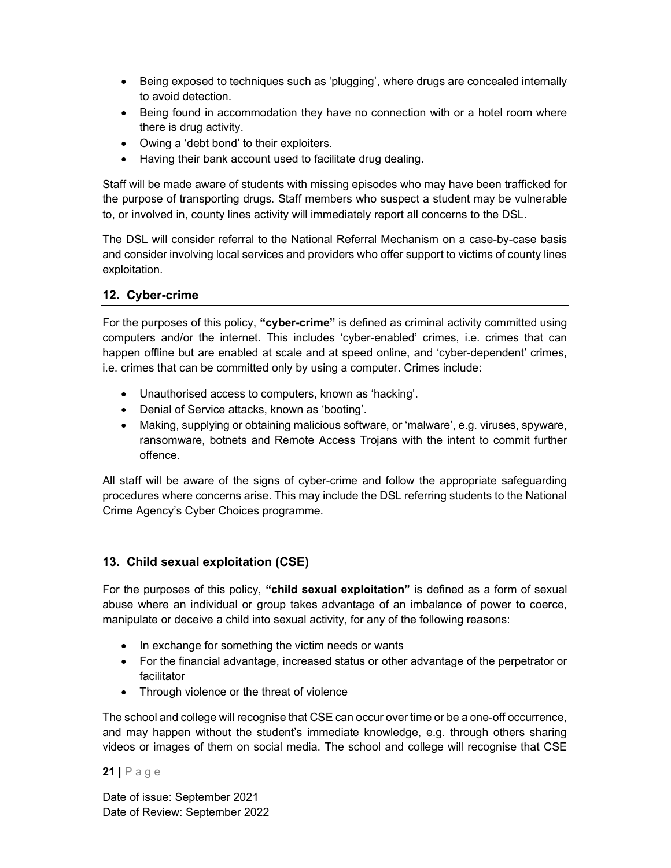- Being exposed to techniques such as 'plugging', where drugs are concealed internally to avoid detection.
- Being found in accommodation they have no connection with or a hotel room where there is drug activity.
- Owing a 'debt bond' to their exploiters.
- Having their bank account used to facilitate drug dealing.

Staff will be made aware of students with missing episodes who may have been trafficked for the purpose of transporting drugs. Staff members who suspect a student may be vulnerable to, or involved in, county lines activity will immediately report all concerns to the DSL.

The DSL will consider referral to the National Referral Mechanism on a case-by-case basis and consider involving local services and providers who offer support to victims of county lines exploitation.

## 12. Cyber-crime

For the purposes of this policy, "cyber-crime" is defined as criminal activity committed using computers and/or the internet. This includes 'cyber-enabled' crimes, i.e. crimes that can happen offline but are enabled at scale and at speed online, and 'cyber-dependent' crimes, i.e. crimes that can be committed only by using a computer. Crimes include:

- Unauthorised access to computers, known as 'hacking'.
- Denial of Service attacks, known as 'booting'.
- Making, supplying or obtaining malicious software, or 'malware', e.g. viruses, spyware, ransomware, botnets and Remote Access Trojans with the intent to commit further offence.

All staff will be aware of the signs of cyber-crime and follow the appropriate safeguarding procedures where concerns arise. This may include the DSL referring students to the National Crime Agency's Cyber Choices programme.

### 13. Child sexual exploitation (CSE)

For the purposes of this policy, "child sexual exploitation" is defined as a form of sexual abuse where an individual or group takes advantage of an imbalance of power to coerce, manipulate or deceive a child into sexual activity, for any of the following reasons:

- In exchange for something the victim needs or wants
- For the financial advantage, increased status or other advantage of the perpetrator or facilitator
- Through violence or the threat of violence

The school and college will recognise that CSE can occur over time or be a one-off occurrence, and may happen without the student's immediate knowledge, e.g. through others sharing videos or images of them on social media. The school and college will recognise that CSE

#### $21$  | P a g e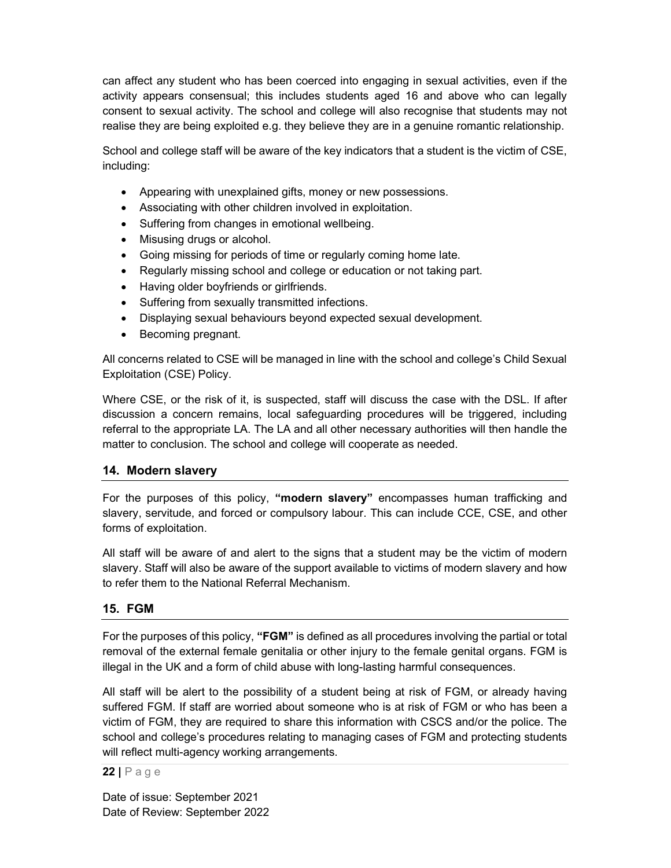can affect any student who has been coerced into engaging in sexual activities, even if the activity appears consensual; this includes students aged 16 and above who can legally consent to sexual activity. The school and college will also recognise that students may not realise they are being exploited e.g. they believe they are in a genuine romantic relationship.

School and college staff will be aware of the key indicators that a student is the victim of CSE, including:

- Appearing with unexplained gifts, money or new possessions.
- Associating with other children involved in exploitation.
- Suffering from changes in emotional wellbeing.
- Misusing drugs or alcohol.
- Going missing for periods of time or regularly coming home late.
- Regularly missing school and college or education or not taking part.
- Having older boyfriends or girlfriends.
- Suffering from sexually transmitted infections.
- Displaying sexual behaviours beyond expected sexual development.
- Becoming pregnant.

All concerns related to CSE will be managed in line with the school and college's Child Sexual Exploitation (CSE) Policy.

Where CSE, or the risk of it, is suspected, staff will discuss the case with the DSL. If after discussion a concern remains, local safeguarding procedures will be triggered, including referral to the appropriate LA. The LA and all other necessary authorities will then handle the matter to conclusion. The school and college will cooperate as needed.

### 14. Modern slavery

For the purposes of this policy, "modern slavery" encompasses human trafficking and slavery, servitude, and forced or compulsory labour. This can include CCE, CSE, and other forms of exploitation.

All staff will be aware of and alert to the signs that a student may be the victim of modern slavery. Staff will also be aware of the support available to victims of modern slavery and how to refer them to the National Referral Mechanism.

### 15. FGM

For the purposes of this policy, "FGM" is defined as all procedures involving the partial or total removal of the external female genitalia or other injury to the female genital organs. FGM is illegal in the UK and a form of child abuse with long-lasting harmful consequences.

All staff will be alert to the possibility of a student being at risk of FGM, or already having suffered FGM. If staff are worried about someone who is at risk of FGM or who has been a victim of FGM, they are required to share this information with CSCS and/or the police. The school and college's procedures relating to managing cases of FGM and protecting students will reflect multi-agency working arrangements.

 $22$  | P a g e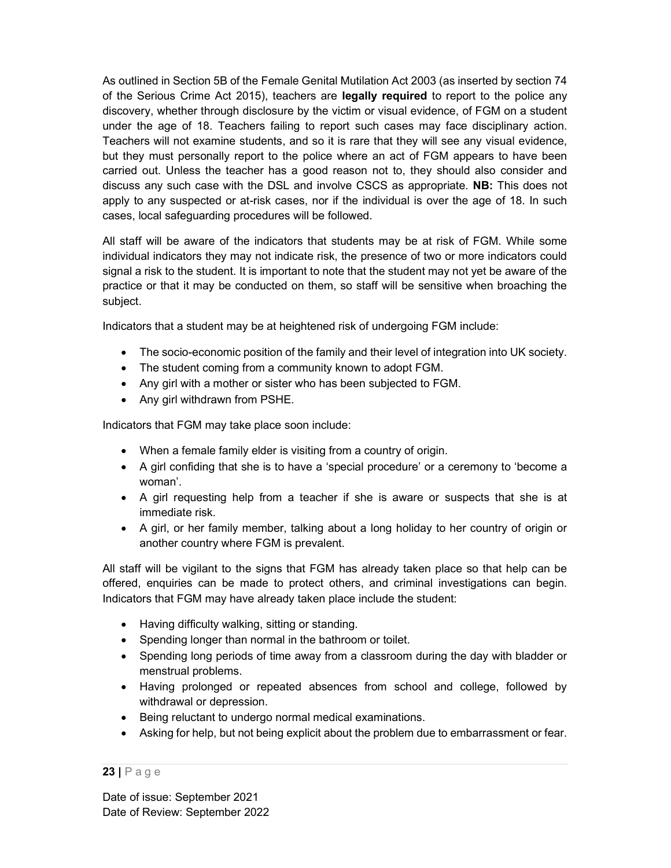As outlined in Section 5B of the Female Genital Mutilation Act 2003 (as inserted by section 74 of the Serious Crime Act 2015), teachers are legally required to report to the police any discovery, whether through disclosure by the victim or visual evidence, of FGM on a student under the age of 18. Teachers failing to report such cases may face disciplinary action. Teachers will not examine students, and so it is rare that they will see any visual evidence, but they must personally report to the police where an act of FGM appears to have been carried out. Unless the teacher has a good reason not to, they should also consider and discuss any such case with the DSL and involve CSCS as appropriate. NB: This does not apply to any suspected or at-risk cases, nor if the individual is over the age of 18. In such cases, local safeguarding procedures will be followed.

All staff will be aware of the indicators that students may be at risk of FGM. While some individual indicators they may not indicate risk, the presence of two or more indicators could signal a risk to the student. It is important to note that the student may not yet be aware of the practice or that it may be conducted on them, so staff will be sensitive when broaching the subject.

Indicators that a student may be at heightened risk of undergoing FGM include:

- The socio-economic position of the family and their level of integration into UK society.
- The student coming from a community known to adopt FGM.
- Any girl with a mother or sister who has been subjected to FGM.
- Any girl withdrawn from PSHE.

Indicators that FGM may take place soon include:

- When a female family elder is visiting from a country of origin.
- A girl confiding that she is to have a 'special procedure' or a ceremony to 'become a woman'.
- A girl requesting help from a teacher if she is aware or suspects that she is at immediate risk.
- A girl, or her family member, talking about a long holiday to her country of origin or another country where FGM is prevalent.

All staff will be vigilant to the signs that FGM has already taken place so that help can be offered, enquiries can be made to protect others, and criminal investigations can begin. Indicators that FGM may have already taken place include the student:

- Having difficulty walking, sitting or standing.
- Spending longer than normal in the bathroom or toilet.
- Spending long periods of time away from a classroom during the day with bladder or menstrual problems.
- Having prolonged or repeated absences from school and college, followed by withdrawal or depression.
- Being reluctant to undergo normal medical examinations.
- Asking for help, but not being explicit about the problem due to embarrassment or fear.

#### 23 | P a g e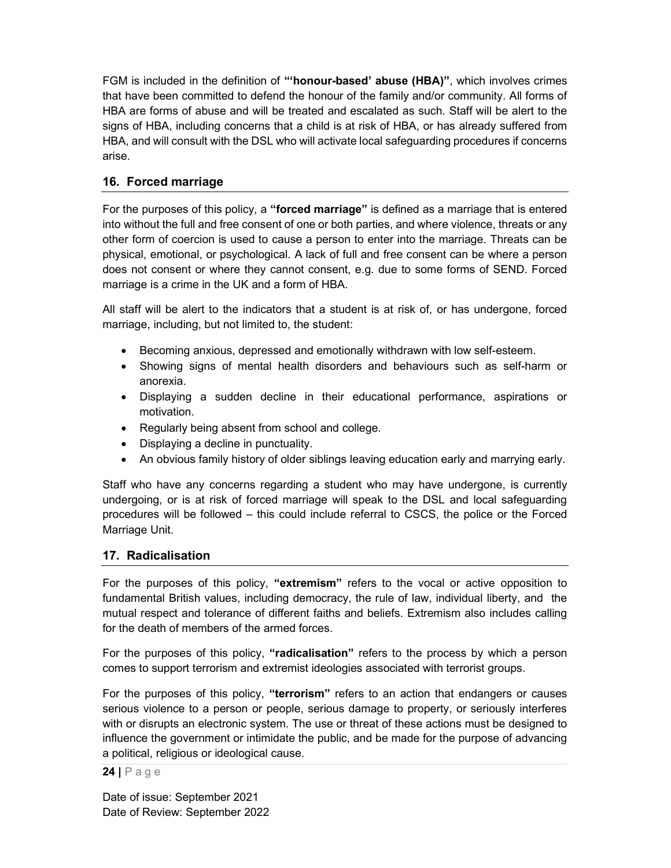FGM is included in the definition of "'honour-based' abuse (HBA)", which involves crimes that have been committed to defend the honour of the family and/or community. All forms of HBA are forms of abuse and will be treated and escalated as such. Staff will be alert to the signs of HBA, including concerns that a child is at risk of HBA, or has already suffered from HBA, and will consult with the DSL who will activate local safeguarding procedures if concerns arise.

## 16. Forced marriage

For the purposes of this policy, a "forced marriage" is defined as a marriage that is entered into without the full and free consent of one or both parties, and where violence, threats or any other form of coercion is used to cause a person to enter into the marriage. Threats can be physical, emotional, or psychological. A lack of full and free consent can be where a person does not consent or where they cannot consent, e.g. due to some forms of SEND. Forced marriage is a crime in the UK and a form of HBA.

All staff will be alert to the indicators that a student is at risk of, or has undergone, forced marriage, including, but not limited to, the student:

- Becoming anxious, depressed and emotionally withdrawn with low self-esteem.
- Showing signs of mental health disorders and behaviours such as self-harm or anorexia.
- Displaying a sudden decline in their educational performance, aspirations or motivation.
- Regularly being absent from school and college.
- Displaying a decline in punctuality.
- An obvious family history of older siblings leaving education early and marrying early.

Staff who have any concerns regarding a student who may have undergone, is currently undergoing, or is at risk of forced marriage will speak to the DSL and local safeguarding procedures will be followed – this could include referral to CSCS, the police or the Forced Marriage Unit.

### 17. Radicalisation

For the purposes of this policy, "extremism" refers to the vocal or active opposition to fundamental British values, including democracy, the rule of law, individual liberty, and the mutual respect and tolerance of different faiths and beliefs. Extremism also includes calling for the death of members of the armed forces.

For the purposes of this policy, "radicalisation" refers to the process by which a person comes to support terrorism and extremist ideologies associated with terrorist groups.

For the purposes of this policy, "terrorism" refers to an action that endangers or causes serious violence to a person or people, serious damage to property, or seriously interferes with or disrupts an electronic system. The use or threat of these actions must be designed to influence the government or intimidate the public, and be made for the purpose of advancing a political, religious or ideological cause.

 $24$  | Page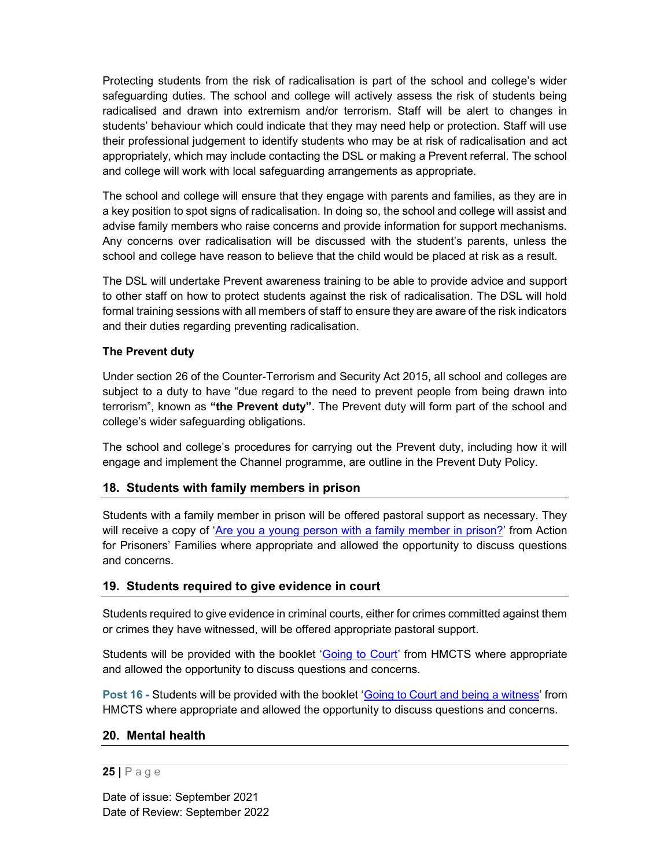Protecting students from the risk of radicalisation is part of the school and college's wider safeguarding duties. The school and college will actively assess the risk of students being radicalised and drawn into extremism and/or terrorism. Staff will be alert to changes in students' behaviour which could indicate that they may need help or protection. Staff will use their professional judgement to identify students who may be at risk of radicalisation and act appropriately, which may include contacting the DSL or making a Prevent referral. The school and college will work with local safeguarding arrangements as appropriate.

The school and college will ensure that they engage with parents and families, as they are in a key position to spot signs of radicalisation. In doing so, the school and college will assist and advise family members who raise concerns and provide information for support mechanisms. Any concerns over radicalisation will be discussed with the student's parents, unless the school and college have reason to believe that the child would be placed at risk as a result.

The DSL will undertake Prevent awareness training to be able to provide advice and support to other staff on how to protect students against the risk of radicalisation. The DSL will hold formal training sessions with all members of staff to ensure they are aware of the risk indicators and their duties regarding preventing radicalisation.

#### The Prevent duty

Under section 26 of the Counter-Terrorism and Security Act 2015, all school and colleges are subject to a duty to have "due regard to the need to prevent people from being drawn into terrorism", known as "the Prevent duty". The Prevent duty will form part of the school and college's wider safeguarding obligations.

The school and college's procedures for carrying out the Prevent duty, including how it will engage and implement the Channel programme, are outline in the Prevent Duty Policy.

### 18. Students with family members in prison

Students with a family member in prison will be offered pastoral support as necessary. They will receive a copy of 'Are you a young person with a family member in prison?' from Action for Prisoners' Families where appropriate and allowed the opportunity to discuss questions and concerns.

### 19. Students required to give evidence in court

Students required to give evidence in criminal courts, either for crimes committed against them or crimes they have witnessed, will be offered appropriate pastoral support.

Students will be provided with the booklet '**Going to Court'** from HMCTS where appropriate and allowed the opportunity to discuss questions and concerns.

Post 16 - Students will be provided with the booklet 'Going to Court and being a witness' from HMCTS where appropriate and allowed the opportunity to discuss questions and concerns.

#### 20. Mental health

#### $25$  | P a g e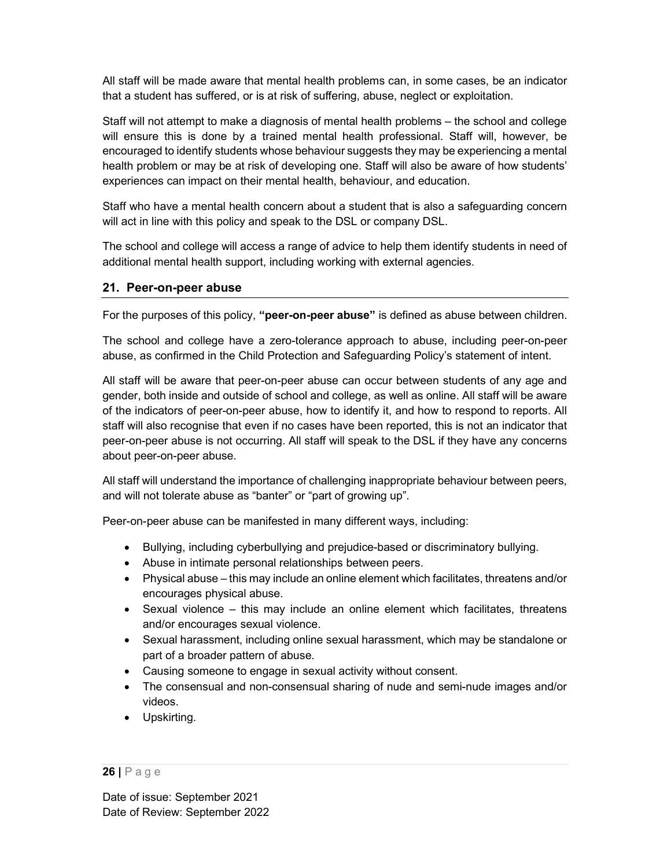All staff will be made aware that mental health problems can, in some cases, be an indicator that a student has suffered, or is at risk of suffering, abuse, neglect or exploitation.

Staff will not attempt to make a diagnosis of mental health problems – the school and college will ensure this is done by a trained mental health professional. Staff will, however, be encouraged to identify students whose behaviour suggests they may be experiencing a mental health problem or may be at risk of developing one. Staff will also be aware of how students' experiences can impact on their mental health, behaviour, and education.

Staff who have a mental health concern about a student that is also a safeguarding concern will act in line with this policy and speak to the DSL or company DSL.

The school and college will access a range of advice to help them identify students in need of additional mental health support, including working with external agencies.

## 21. Peer-on-peer abuse

For the purposes of this policy, "peer-on-peer abuse" is defined as abuse between children.

The school and college have a zero-tolerance approach to abuse, including peer-on-peer abuse, as confirmed in the Child Protection and Safeguarding Policy's statement of intent.

All staff will be aware that peer-on-peer abuse can occur between students of any age and gender, both inside and outside of school and college, as well as online. All staff will be aware of the indicators of peer-on-peer abuse, how to identify it, and how to respond to reports. All staff will also recognise that even if no cases have been reported, this is not an indicator that peer-on-peer abuse is not occurring. All staff will speak to the DSL if they have any concerns about peer-on-peer abuse.

All staff will understand the importance of challenging inappropriate behaviour between peers, and will not tolerate abuse as "banter" or "part of growing up".

Peer-on-peer abuse can be manifested in many different ways, including:

- Bullying, including cyberbullying and prejudice-based or discriminatory bullying.
- Abuse in intimate personal relationships between peers.
- Physical abuse this may include an online element which facilitates, threatens and/or encourages physical abuse.
- Sexual violence this may include an online element which facilitates, threatens and/or encourages sexual violence.
- Sexual harassment, including online sexual harassment, which may be standalone or part of a broader pattern of abuse.
- Causing someone to engage in sexual activity without consent.
- The consensual and non-consensual sharing of nude and semi-nude images and/or videos.
- Upskirting.

<sup>26 |</sup> P a g e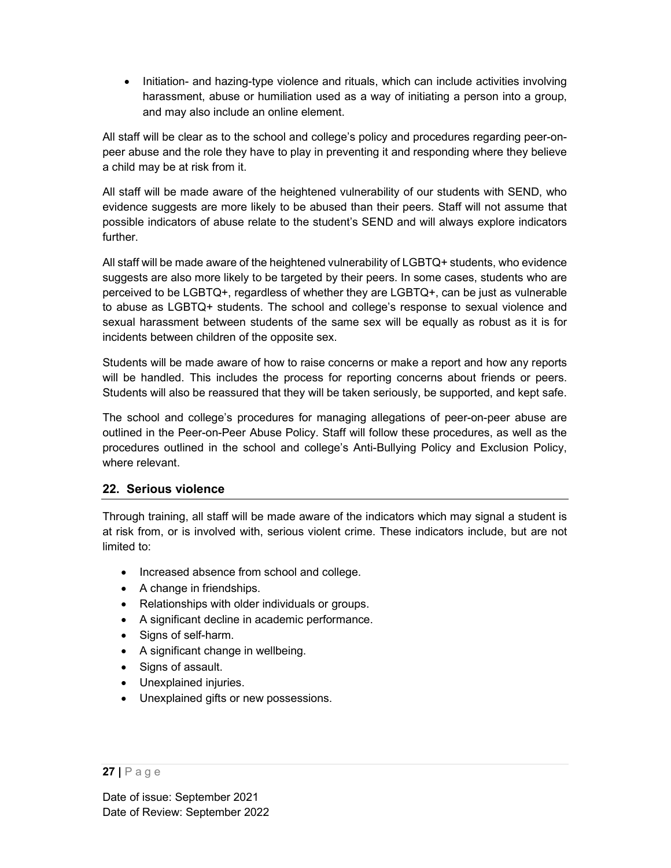• Initiation- and hazing-type violence and rituals, which can include activities involving harassment, abuse or humiliation used as a way of initiating a person into a group, and may also include an online element.

All staff will be clear as to the school and college's policy and procedures regarding peer-onpeer abuse and the role they have to play in preventing it and responding where they believe a child may be at risk from it.

All staff will be made aware of the heightened vulnerability of our students with SEND, who evidence suggests are more likely to be abused than their peers. Staff will not assume that possible indicators of abuse relate to the student's SEND and will always explore indicators further.

All staff will be made aware of the heightened vulnerability of LGBTQ+ students, who evidence suggests are also more likely to be targeted by their peers. In some cases, students who are perceived to be LGBTQ+, regardless of whether they are LGBTQ+, can be just as vulnerable to abuse as LGBTQ+ students. The school and college's response to sexual violence and sexual harassment between students of the same sex will be equally as robust as it is for incidents between children of the opposite sex.

Students will be made aware of how to raise concerns or make a report and how any reports will be handled. This includes the process for reporting concerns about friends or peers. Students will also be reassured that they will be taken seriously, be supported, and kept safe.

The school and college's procedures for managing allegations of peer-on-peer abuse are outlined in the Peer-on-Peer Abuse Policy. Staff will follow these procedures, as well as the procedures outlined in the school and college's Anti-Bullying Policy and Exclusion Policy, where relevant.

## 22. Serious violence

Through training, all staff will be made aware of the indicators which may signal a student is at risk from, or is involved with, serious violent crime. These indicators include, but are not limited to:

- Increased absence from school and college.
- A change in friendships.
- Relationships with older individuals or groups.
- A significant decline in academic performance.
- Signs of self-harm.
- A significant change in wellbeing.
- Signs of assault.
- Unexplained injuries.
- Unexplained gifts or new possessions.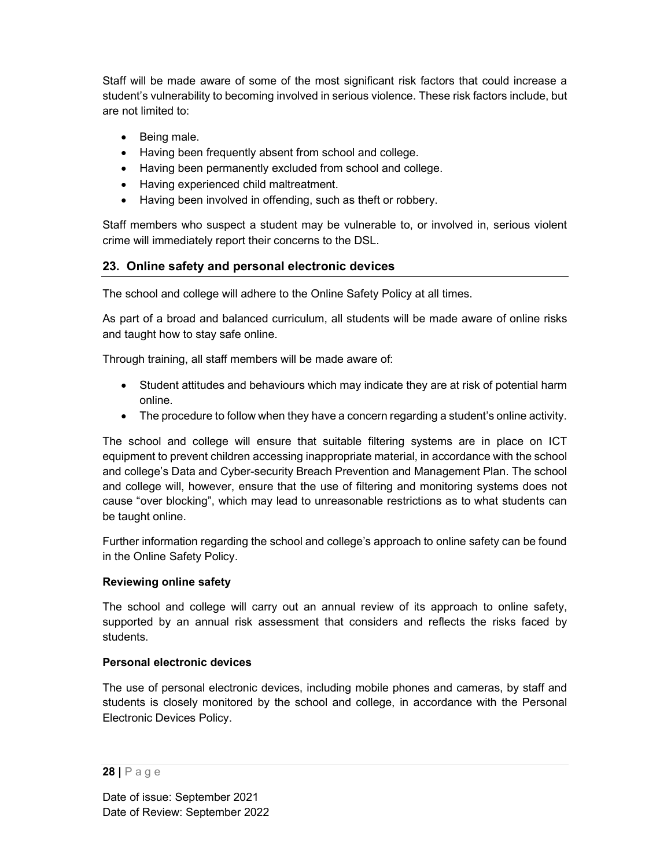Staff will be made aware of some of the most significant risk factors that could increase a student's vulnerability to becoming involved in serious violence. These risk factors include, but are not limited to:

- Being male.
- Having been frequently absent from school and college.
- Having been permanently excluded from school and college.
- Having experienced child maltreatment.
- Having been involved in offending, such as theft or robbery.

Staff members who suspect a student may be vulnerable to, or involved in, serious violent crime will immediately report their concerns to the DSL.

## 23. Online safety and personal electronic devices

The school and college will adhere to the Online Safety Policy at all times.

As part of a broad and balanced curriculum, all students will be made aware of online risks and taught how to stay safe online.

Through training, all staff members will be made aware of:

- Student attitudes and behaviours which may indicate they are at risk of potential harm online.
- The procedure to follow when they have a concern regarding a student's online activity.

The school and college will ensure that suitable filtering systems are in place on ICT equipment to prevent children accessing inappropriate material, in accordance with the school and college's Data and Cyber-security Breach Prevention and Management Plan. The school and college will, however, ensure that the use of filtering and monitoring systems does not cause "over blocking", which may lead to unreasonable restrictions as to what students can be taught online.

Further information regarding the school and college's approach to online safety can be found in the Online Safety Policy.

### Reviewing online safety

The school and college will carry out an annual review of its approach to online safety, supported by an annual risk assessment that considers and reflects the risks faced by students.

#### Personal electronic devices

The use of personal electronic devices, including mobile phones and cameras, by staff and students is closely monitored by the school and college, in accordance with the Personal Electronic Devices Policy.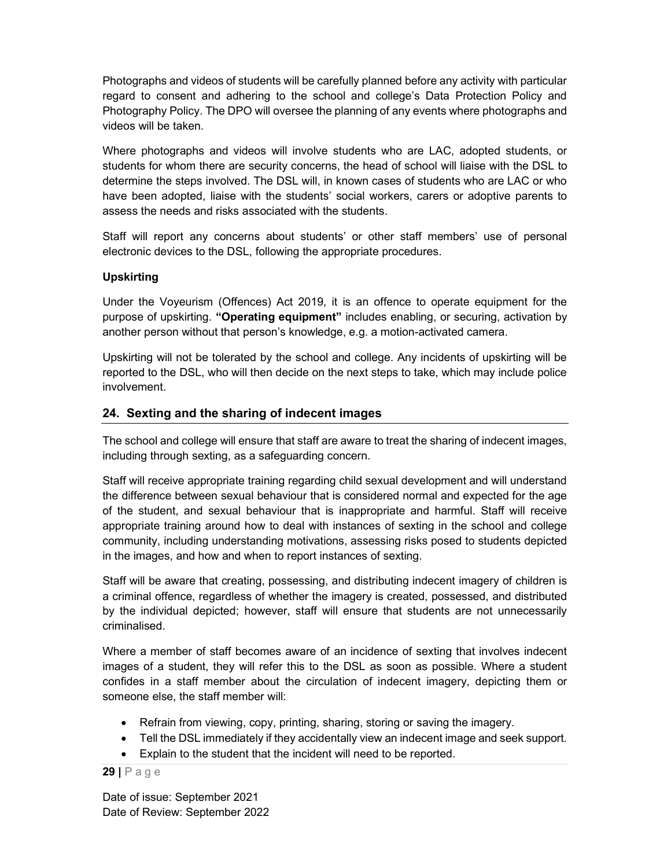Photographs and videos of students will be carefully planned before any activity with particular regard to consent and adhering to the school and college's Data Protection Policy and Photography Policy. The DPO will oversee the planning of any events where photographs and videos will be taken.

Where photographs and videos will involve students who are LAC, adopted students, or students for whom there are security concerns, the head of school will liaise with the DSL to determine the steps involved. The DSL will, in known cases of students who are LAC or who have been adopted, liaise with the students' social workers, carers or adoptive parents to assess the needs and risks associated with the students.

Staff will report any concerns about students' or other staff members' use of personal electronic devices to the DSL, following the appropriate procedures.

#### Upskirting

Under the Voyeurism (Offences) Act 2019, it is an offence to operate equipment for the purpose of upskirting. "Operating equipment" includes enabling, or securing, activation by another person without that person's knowledge, e.g. a motion-activated camera.

Upskirting will not be tolerated by the school and college. Any incidents of upskirting will be reported to the DSL, who will then decide on the next steps to take, which may include police involvement.

#### 24. Sexting and the sharing of indecent images

The school and college will ensure that staff are aware to treat the sharing of indecent images, including through sexting, as a safeguarding concern.

Staff will receive appropriate training regarding child sexual development and will understand the difference between sexual behaviour that is considered normal and expected for the age of the student, and sexual behaviour that is inappropriate and harmful. Staff will receive appropriate training around how to deal with instances of sexting in the school and college community, including understanding motivations, assessing risks posed to students depicted in the images, and how and when to report instances of sexting.

Staff will be aware that creating, possessing, and distributing indecent imagery of children is a criminal offence, regardless of whether the imagery is created, possessed, and distributed by the individual depicted; however, staff will ensure that students are not unnecessarily criminalised.

Where a member of staff becomes aware of an incidence of sexting that involves indecent images of a student, they will refer this to the DSL as soon as possible. Where a student confides in a staff member about the circulation of indecent imagery, depicting them or someone else, the staff member will:

- Refrain from viewing, copy, printing, sharing, storing or saving the imagery.
- Tell the DSL immediately if they accidentally view an indecent image and seek support.
- Explain to the student that the incident will need to be reported.

 $29$  | P a g e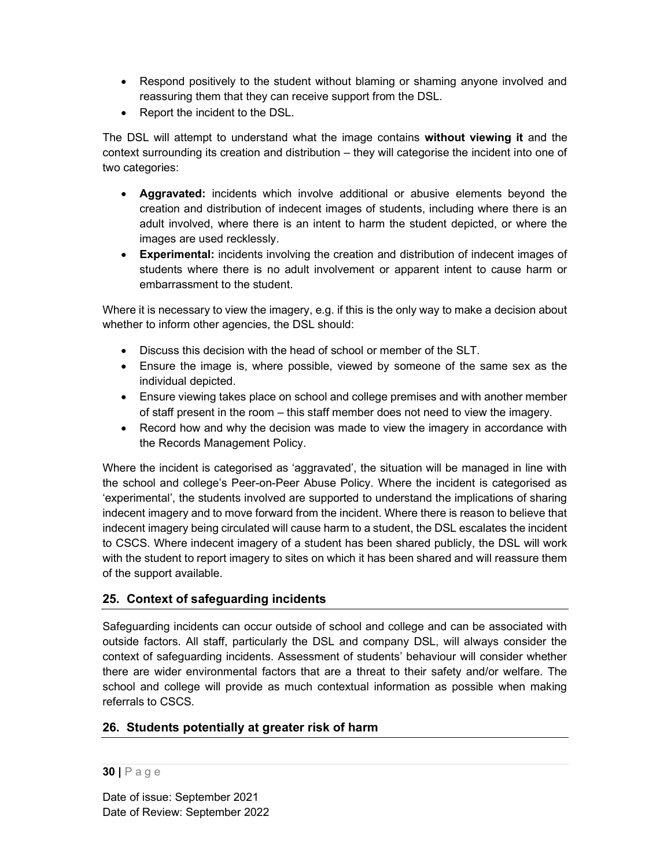- Respond positively to the student without blaming or shaming anyone involved and reassuring them that they can receive support from the DSL.
- Report the incident to the DSL.

The DSL will attempt to understand what the image contains without viewing it and the context surrounding its creation and distribution – they will categorise the incident into one of two categories:

- Aggravated: incidents which involve additional or abusive elements beyond the creation and distribution of indecent images of students, including where there is an adult involved, where there is an intent to harm the student depicted, or where the images are used recklessly.
- Experimental: incidents involving the creation and distribution of indecent images of students where there is no adult involvement or apparent intent to cause harm or embarrassment to the student.

Where it is necessary to view the imagery, e.g. if this is the only way to make a decision about whether to inform other agencies, the DSL should:

- Discuss this decision with the head of school or member of the SLT.
- Ensure the image is, where possible, viewed by someone of the same sex as the individual depicted.
- Ensure viewing takes place on school and college premises and with another member of staff present in the room – this staff member does not need to view the imagery.
- Record how and why the decision was made to view the imagery in accordance with the Records Management Policy.

Where the incident is categorised as 'aggravated', the situation will be managed in line with the school and college's Peer-on-Peer Abuse Policy. Where the incident is categorised as 'experimental', the students involved are supported to understand the implications of sharing indecent imagery and to move forward from the incident. Where there is reason to believe that indecent imagery being circulated will cause harm to a student, the DSL escalates the incident to CSCS. Where indecent imagery of a student has been shared publicly, the DSL will work with the student to report imagery to sites on which it has been shared and will reassure them of the support available.

## 25. Context of safeguarding incidents

Safeguarding incidents can occur outside of school and college and can be associated with outside factors. All staff, particularly the DSL and company DSL, will always consider the context of safeguarding incidents. Assessment of students' behaviour will consider whether there are wider environmental factors that are a threat to their safety and/or welfare. The school and college will provide as much contextual information as possible when making referrals to CSCS.

## 26. Students potentially at greater risk of harm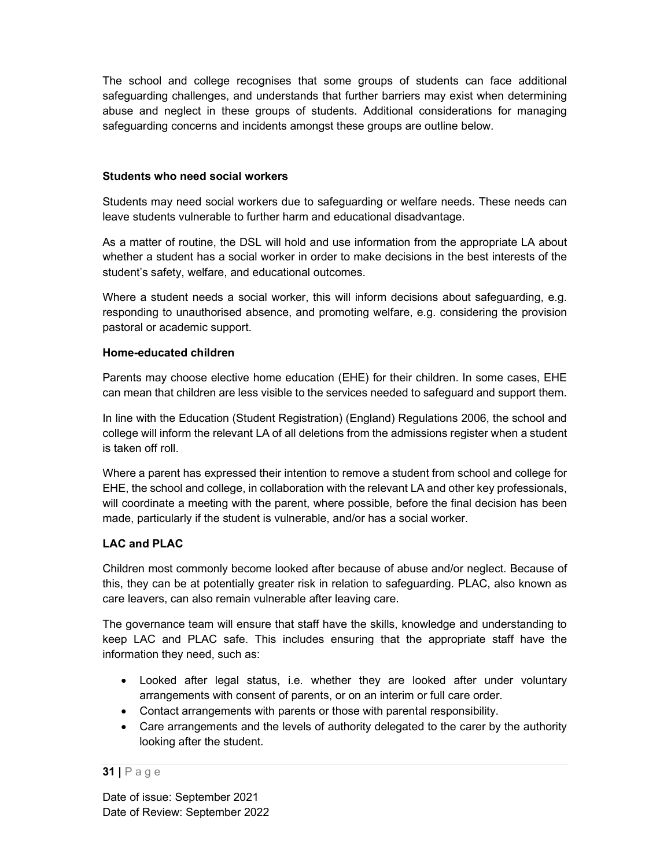The school and college recognises that some groups of students can face additional safeguarding challenges, and understands that further barriers may exist when determining abuse and neglect in these groups of students. Additional considerations for managing safeguarding concerns and incidents amongst these groups are outline below.

#### Students who need social workers

Students may need social workers due to safeguarding or welfare needs. These needs can leave students vulnerable to further harm and educational disadvantage.

As a matter of routine, the DSL will hold and use information from the appropriate LA about whether a student has a social worker in order to make decisions in the best interests of the student's safety, welfare, and educational outcomes.

Where a student needs a social worker, this will inform decisions about safeguarding, e.g. responding to unauthorised absence, and promoting welfare, e.g. considering the provision pastoral or academic support.

#### Home-educated children

Parents may choose elective home education (EHE) for their children. In some cases, EHE can mean that children are less visible to the services needed to safeguard and support them.

In line with the Education (Student Registration) (England) Regulations 2006, the school and college will inform the relevant LA of all deletions from the admissions register when a student is taken off roll.

Where a parent has expressed their intention to remove a student from school and college for EHE, the school and college, in collaboration with the relevant LA and other key professionals, will coordinate a meeting with the parent, where possible, before the final decision has been made, particularly if the student is vulnerable, and/or has a social worker.

### LAC and PLAC

Children most commonly become looked after because of abuse and/or neglect. Because of this, they can be at potentially greater risk in relation to safeguarding. PLAC, also known as care leavers, can also remain vulnerable after leaving care.

The governance team will ensure that staff have the skills, knowledge and understanding to keep LAC and PLAC safe. This includes ensuring that the appropriate staff have the information they need, such as:

- Looked after legal status, i.e. whether they are looked after under voluntary arrangements with consent of parents, or on an interim or full care order.
- Contact arrangements with parents or those with parental responsibility.
- Care arrangements and the levels of authority delegated to the carer by the authority looking after the student.

#### 31 | P a g e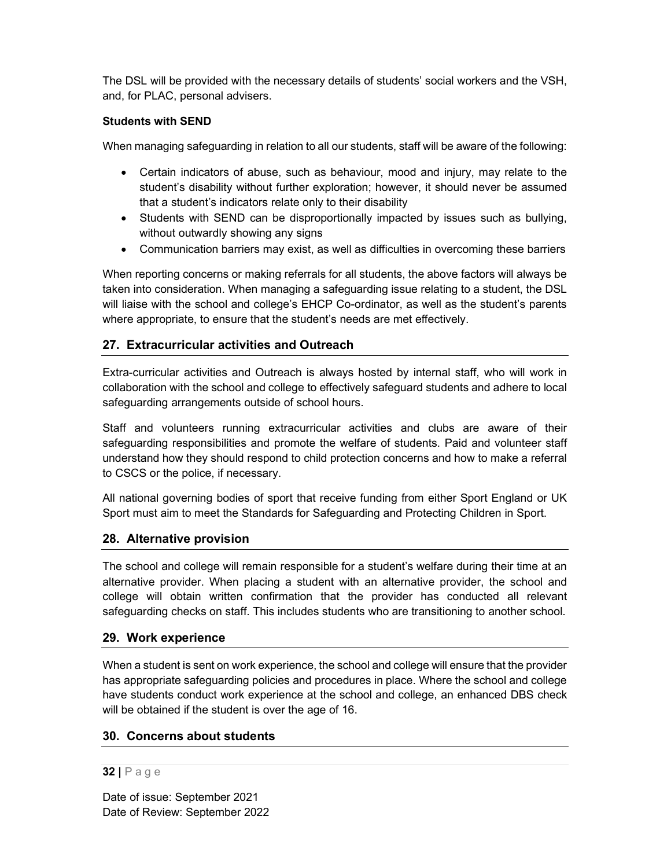The DSL will be provided with the necessary details of students' social workers and the VSH, and, for PLAC, personal advisers.

#### Students with SEND

When managing safeguarding in relation to all our students, staff will be aware of the following:

- Certain indicators of abuse, such as behaviour, mood and injury, may relate to the student's disability without further exploration; however, it should never be assumed that a student's indicators relate only to their disability
- Students with SEND can be disproportionally impacted by issues such as bullying, without outwardly showing any signs
- Communication barriers may exist, as well as difficulties in overcoming these barriers

When reporting concerns or making referrals for all students, the above factors will always be taken into consideration. When managing a safeguarding issue relating to a student, the DSL will liaise with the school and college's EHCP Co-ordinator, as well as the student's parents where appropriate, to ensure that the student's needs are met effectively.

### 27. Extracurricular activities and Outreach

Extra-curricular activities and Outreach is always hosted by internal staff, who will work in collaboration with the school and college to effectively safeguard students and adhere to local safeguarding arrangements outside of school hours.

Staff and volunteers running extracurricular activities and clubs are aware of their safeguarding responsibilities and promote the welfare of students. Paid and volunteer staff understand how they should respond to child protection concerns and how to make a referral to CSCS or the police, if necessary.

All national governing bodies of sport that receive funding from either Sport England or UK Sport must aim to meet the Standards for Safeguarding and Protecting Children in Sport.

### 28. Alternative provision

The school and college will remain responsible for a student's welfare during their time at an alternative provider. When placing a student with an alternative provider, the school and college will obtain written confirmation that the provider has conducted all relevant safeguarding checks on staff. This includes students who are transitioning to another school.

#### 29. Work experience

When a student is sent on work experience, the school and college will ensure that the provider has appropriate safeguarding policies and procedures in place. Where the school and college have students conduct work experience at the school and college, an enhanced DBS check will be obtained if the student is over the age of 16.

### 30. Concerns about students

#### 32 | P a g e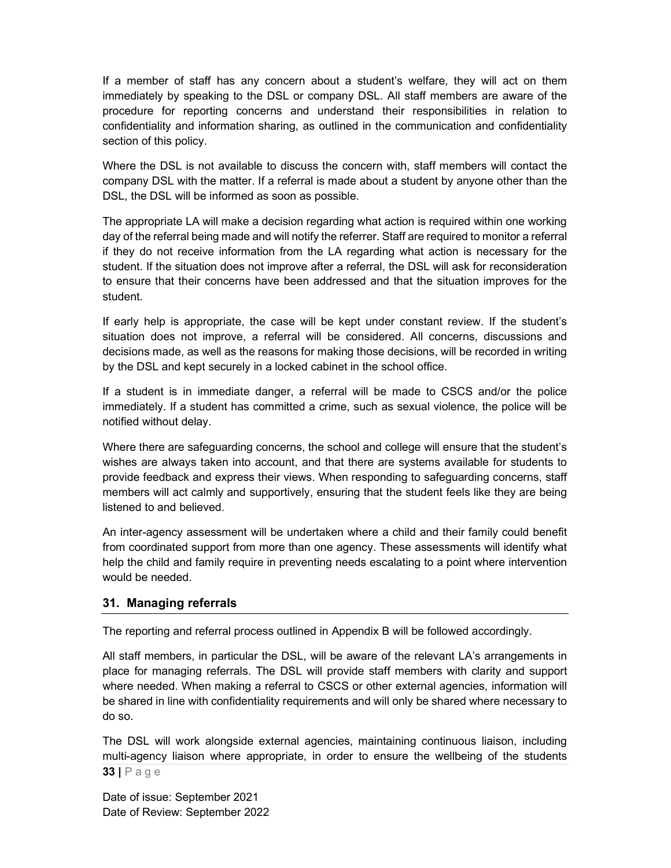If a member of staff has any concern about a student's welfare, they will act on them immediately by speaking to the DSL or company DSL. All staff members are aware of the procedure for reporting concerns and understand their responsibilities in relation to confidentiality and information sharing, as outlined in the communication and confidentiality section of this policy.

Where the DSL is not available to discuss the concern with, staff members will contact the company DSL with the matter. If a referral is made about a student by anyone other than the DSL, the DSL will be informed as soon as possible.

The appropriate LA will make a decision regarding what action is required within one working day of the referral being made and will notify the referrer. Staff are required to monitor a referral if they do not receive information from the LA regarding what action is necessary for the student. If the situation does not improve after a referral, the DSL will ask for reconsideration to ensure that their concerns have been addressed and that the situation improves for the student.

If early help is appropriate, the case will be kept under constant review. If the student's situation does not improve, a referral will be considered. All concerns, discussions and decisions made, as well as the reasons for making those decisions, will be recorded in writing by the DSL and kept securely in a locked cabinet in the school office.

If a student is in immediate danger, a referral will be made to CSCS and/or the police immediately. If a student has committed a crime, such as sexual violence, the police will be notified without delay.

Where there are safeguarding concerns, the school and college will ensure that the student's wishes are always taken into account, and that there are systems available for students to provide feedback and express their views. When responding to safeguarding concerns, staff members will act calmly and supportively, ensuring that the student feels like they are being listened to and believed.

An inter-agency assessment will be undertaken where a child and their family could benefit from coordinated support from more than one agency. These assessments will identify what help the child and family require in preventing needs escalating to a point where intervention would be needed.

### 31. Managing referrals

The reporting and referral process outlined in Appendix B will be followed accordingly.

All staff members, in particular the DSL, will be aware of the relevant LA's arrangements in place for managing referrals. The DSL will provide staff members with clarity and support where needed. When making a referral to CSCS or other external agencies, information will be shared in line with confidentiality requirements and will only be shared where necessary to do so.

33 | P a g e The DSL will work alongside external agencies, maintaining continuous liaison, including multi-agency liaison where appropriate, in order to ensure the wellbeing of the students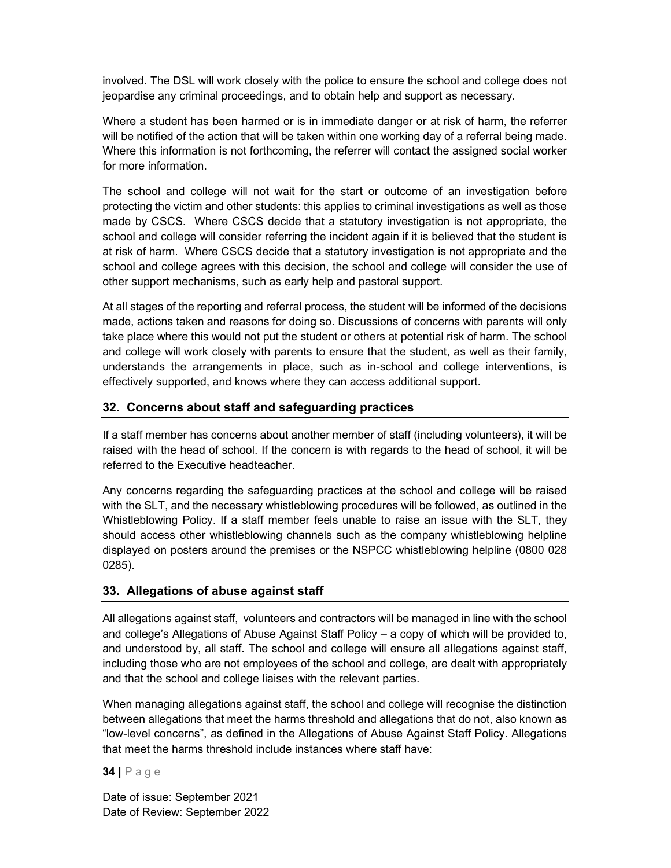involved. The DSL will work closely with the police to ensure the school and college does not jeopardise any criminal proceedings, and to obtain help and support as necessary.

Where a student has been harmed or is in immediate danger or at risk of harm, the referrer will be notified of the action that will be taken within one working day of a referral being made. Where this information is not forthcoming, the referrer will contact the assigned social worker for more information.

The school and college will not wait for the start or outcome of an investigation before protecting the victim and other students: this applies to criminal investigations as well as those made by CSCS. Where CSCS decide that a statutory investigation is not appropriate, the school and college will consider referring the incident again if it is believed that the student is at risk of harm. Where CSCS decide that a statutory investigation is not appropriate and the school and college agrees with this decision, the school and college will consider the use of other support mechanisms, such as early help and pastoral support.

At all stages of the reporting and referral process, the student will be informed of the decisions made, actions taken and reasons for doing so. Discussions of concerns with parents will only take place where this would not put the student or others at potential risk of harm. The school and college will work closely with parents to ensure that the student, as well as their family, understands the arrangements in place, such as in-school and college interventions, is effectively supported, and knows where they can access additional support.

## 32. Concerns about staff and safeguarding practices

If a staff member has concerns about another member of staff (including volunteers), it will be raised with the head of school. If the concern is with regards to the head of school, it will be referred to the Executive headteacher.

Any concerns regarding the safeguarding practices at the school and college will be raised with the SLT, and the necessary whistleblowing procedures will be followed, as outlined in the Whistleblowing Policy. If a staff member feels unable to raise an issue with the SLT, they should access other whistleblowing channels such as the company whistleblowing helpline displayed on posters around the premises or the NSPCC whistleblowing helpline (0800 028 0285).

### 33. Allegations of abuse against staff

All allegations against staff, volunteers and contractors will be managed in line with the school and college's Allegations of Abuse Against Staff Policy – a copy of which will be provided to, and understood by, all staff. The school and college will ensure all allegations against staff, including those who are not employees of the school and college, are dealt with appropriately and that the school and college liaises with the relevant parties.

When managing allegations against staff, the school and college will recognise the distinction between allegations that meet the harms threshold and allegations that do not, also known as "low-level concerns", as defined in the Allegations of Abuse Against Staff Policy. Allegations that meet the harms threshold include instances where staff have:

34 | P a g e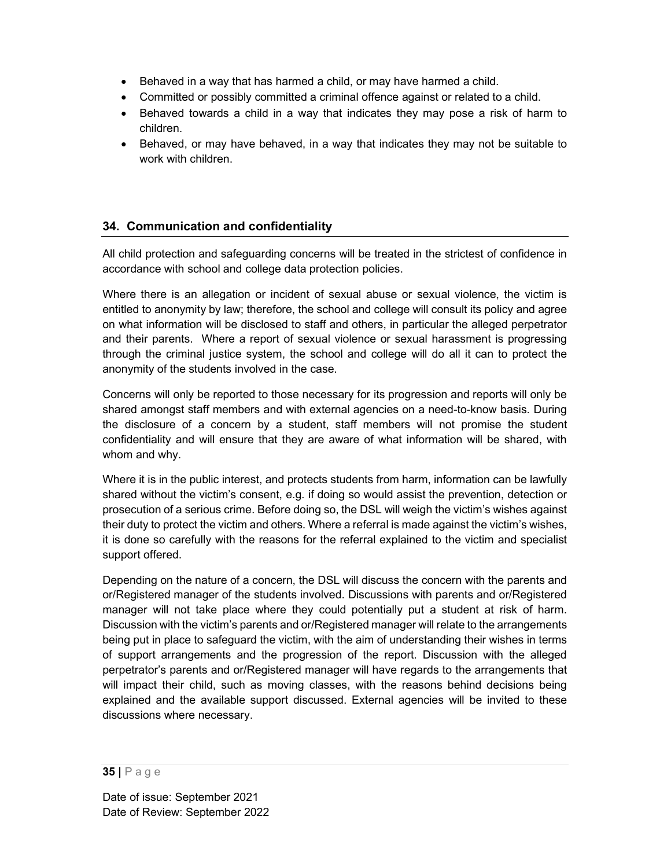- Behaved in a way that has harmed a child, or may have harmed a child.
- Committed or possibly committed a criminal offence against or related to a child.
- Behaved towards a child in a way that indicates they may pose a risk of harm to children.
- Behaved, or may have behaved, in a way that indicates they may not be suitable to work with children.

## 34. Communication and confidentiality

All child protection and safeguarding concerns will be treated in the strictest of confidence in accordance with school and college data protection policies.

Where there is an allegation or incident of sexual abuse or sexual violence, the victim is entitled to anonymity by law; therefore, the school and college will consult its policy and agree on what information will be disclosed to staff and others, in particular the alleged perpetrator and their parents. Where a report of sexual violence or sexual harassment is progressing through the criminal justice system, the school and college will do all it can to protect the anonymity of the students involved in the case.

Concerns will only be reported to those necessary for its progression and reports will only be shared amongst staff members and with external agencies on a need-to-know basis. During the disclosure of a concern by a student, staff members will not promise the student confidentiality and will ensure that they are aware of what information will be shared, with whom and why.

Where it is in the public interest, and protects students from harm, information can be lawfully shared without the victim's consent, e.g. if doing so would assist the prevention, detection or prosecution of a serious crime. Before doing so, the DSL will weigh the victim's wishes against their duty to protect the victim and others. Where a referral is made against the victim's wishes, it is done so carefully with the reasons for the referral explained to the victim and specialist support offered.

Depending on the nature of a concern, the DSL will discuss the concern with the parents and or/Registered manager of the students involved. Discussions with parents and or/Registered manager will not take place where they could potentially put a student at risk of harm. Discussion with the victim's parents and or/Registered manager will relate to the arrangements being put in place to safeguard the victim, with the aim of understanding their wishes in terms of support arrangements and the progression of the report. Discussion with the alleged perpetrator's parents and or/Registered manager will have regards to the arrangements that will impact their child, such as moving classes, with the reasons behind decisions being explained and the available support discussed. External agencies will be invited to these discussions where necessary.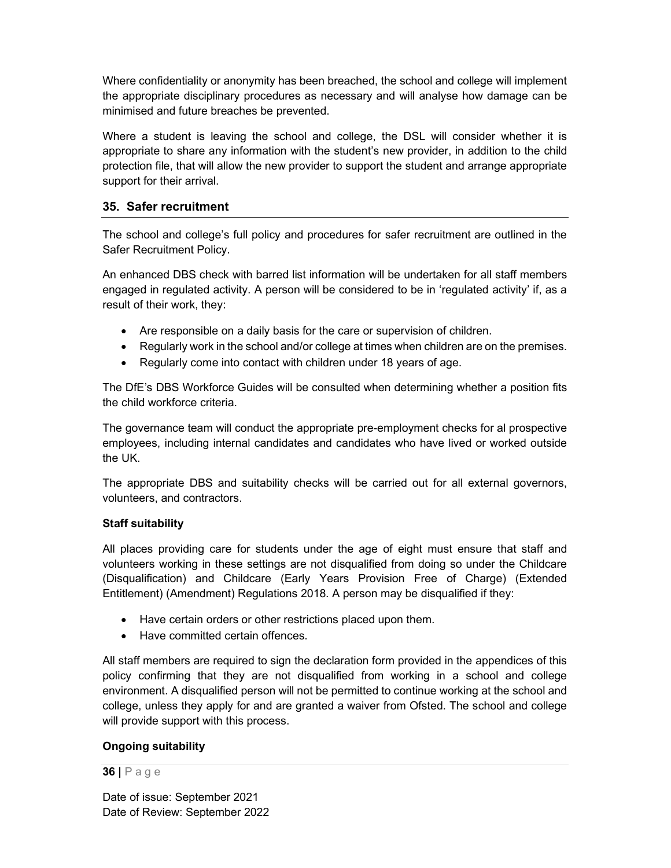Where confidentiality or anonymity has been breached, the school and college will implement the appropriate disciplinary procedures as necessary and will analyse how damage can be minimised and future breaches be prevented.

Where a student is leaving the school and college, the DSL will consider whether it is appropriate to share any information with the student's new provider, in addition to the child protection file, that will allow the new provider to support the student and arrange appropriate support for their arrival.

## 35. Safer recruitment

The school and college's full policy and procedures for safer recruitment are outlined in the Safer Recruitment Policy.

An enhanced DBS check with barred list information will be undertaken for all staff members engaged in regulated activity. A person will be considered to be in 'regulated activity' if, as a result of their work, they:

- Are responsible on a daily basis for the care or supervision of children.
- Regularly work in the school and/or college at times when children are on the premises.
- Regularly come into contact with children under 18 years of age.

The DfE's DBS Workforce Guides will be consulted when determining whether a position fits the child workforce criteria.

The governance team will conduct the appropriate pre-employment checks for al prospective employees, including internal candidates and candidates who have lived or worked outside the UK.

The appropriate DBS and suitability checks will be carried out for all external governors, volunteers, and contractors.

### Staff suitability

All places providing care for students under the age of eight must ensure that staff and volunteers working in these settings are not disqualified from doing so under the Childcare (Disqualification) and Childcare (Early Years Provision Free of Charge) (Extended Entitlement) (Amendment) Regulations 2018. A person may be disqualified if they:

- Have certain orders or other restrictions placed upon them.
- Have committed certain offences.

All staff members are required to sign the declaration form provided in the appendices of this policy confirming that they are not disqualified from working in a school and college environment. A disqualified person will not be permitted to continue working at the school and college, unless they apply for and are granted a waiver from Ofsted. The school and college will provide support with this process.

### Ongoing suitability

#### 36 | P a g e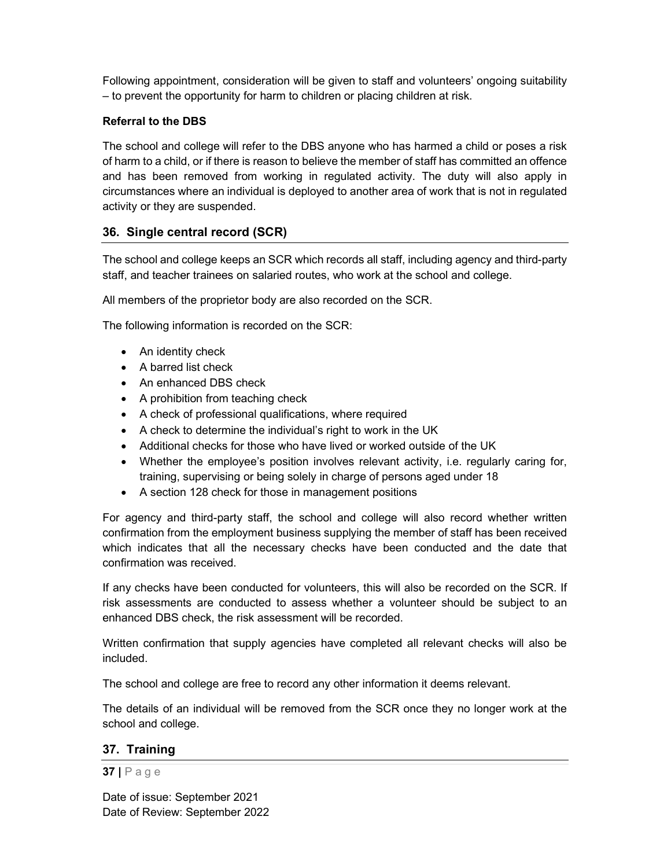Following appointment, consideration will be given to staff and volunteers' ongoing suitability – to prevent the opportunity for harm to children or placing children at risk.

### Referral to the DBS

The school and college will refer to the DBS anyone who has harmed a child or poses a risk of harm to a child, or if there is reason to believe the member of staff has committed an offence and has been removed from working in regulated activity. The duty will also apply in circumstances where an individual is deployed to another area of work that is not in regulated activity or they are suspended.

## 36. Single central record (SCR)

The school and college keeps an SCR which records all staff, including agency and third-party staff, and teacher trainees on salaried routes, who work at the school and college.

All members of the proprietor body are also recorded on the SCR.

The following information is recorded on the SCR:

- An identity check
- A barred list check
- An enhanced DBS check
- A prohibition from teaching check
- A check of professional qualifications, where required
- A check to determine the individual's right to work in the UK
- Additional checks for those who have lived or worked outside of the UK
- Whether the employee's position involves relevant activity, i.e. regularly caring for, training, supervising or being solely in charge of persons aged under 18
- A section 128 check for those in management positions

For agency and third-party staff, the school and college will also record whether written confirmation from the employment business supplying the member of staff has been received which indicates that all the necessary checks have been conducted and the date that confirmation was received.

If any checks have been conducted for volunteers, this will also be recorded on the SCR. If risk assessments are conducted to assess whether a volunteer should be subject to an enhanced DBS check, the risk assessment will be recorded.

Written confirmation that supply agencies have completed all relevant checks will also be included.

The school and college are free to record any other information it deems relevant.

The details of an individual will be removed from the SCR once they no longer work at the school and college.

### 37. Training

#### 37 | P a g e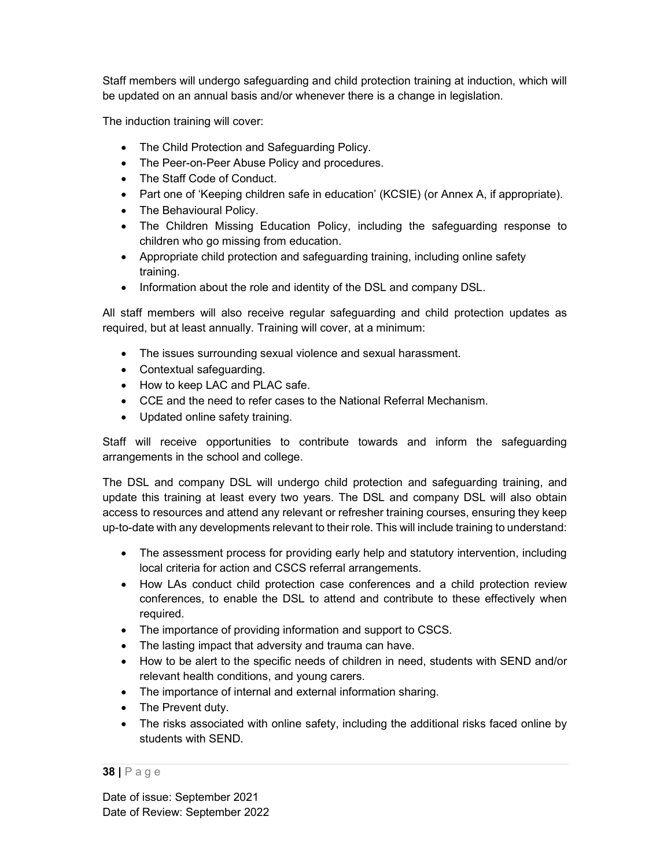Staff members will undergo safeguarding and child protection training at induction, which will be updated on an annual basis and/or whenever there is a change in legislation.

The induction training will cover:

- The Child Protection and Safeguarding Policy.
- The Peer-on-Peer Abuse Policy and procedures.
- The Staff Code of Conduct.
- Part one of 'Keeping children safe in education' (KCSIE) (or Annex A, if appropriate).
- The Behavioural Policy.
- The Children Missing Education Policy, including the safeguarding response to children who go missing from education.
- Appropriate child protection and safeguarding training, including online safety training.
- Information about the role and identity of the DSL and company DSL.

All staff members will also receive regular safeguarding and child protection updates as required, but at least annually. Training will cover, at a minimum:

- The issues surrounding sexual violence and sexual harassment.
- Contextual safeguarding.
- How to keep LAC and PLAC safe.
- CCE and the need to refer cases to the National Referral Mechanism.
- Updated online safety training.

Staff will receive opportunities to contribute towards and inform the safeguarding arrangements in the school and college.

The DSL and company DSL will undergo child protection and safeguarding training, and update this training at least every two years. The DSL and company DSL will also obtain access to resources and attend any relevant or refresher training courses, ensuring they keep up-to-date with any developments relevant to their role. This will include training to understand:

- The assessment process for providing early help and statutory intervention, including local criteria for action and CSCS referral arrangements.
- How LAs conduct child protection case conferences and a child protection review conferences, to enable the DSL to attend and contribute to these effectively when required.
- The importance of providing information and support to CSCS.
- The lasting impact that adversity and trauma can have.
- How to be alert to the specific needs of children in need, students with SEND and/or relevant health conditions, and young carers.
- The importance of internal and external information sharing.
- The Prevent duty.
- The risks associated with online safety, including the additional risks faced online by students with SEND.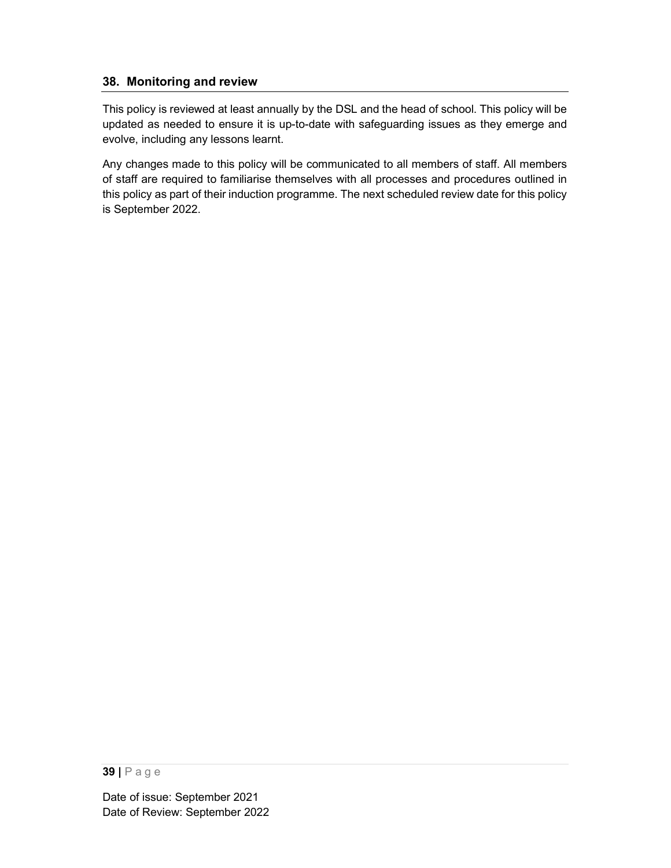## 38. Monitoring and review

This policy is reviewed at least annually by the DSL and the head of school. This policy will be updated as needed to ensure it is up-to-date with safeguarding issues as they emerge and evolve, including any lessons learnt.

Any changes made to this policy will be communicated to all members of staff. All members of staff are required to familiarise themselves with all processes and procedures outlined in this policy as part of their induction programme. The next scheduled review date for this policy is September 2022.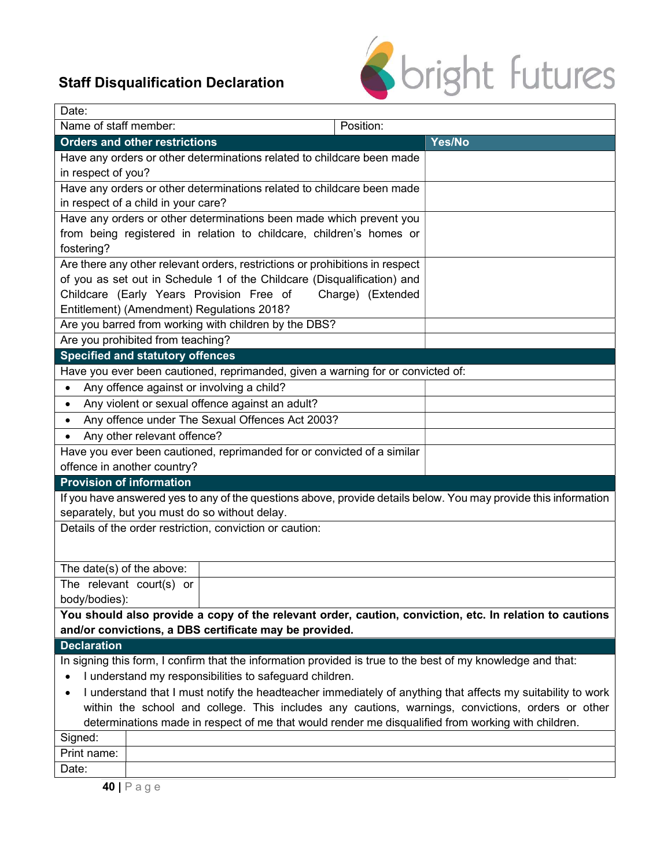# Staff Disqualification Declaration



| Date:                                                                                                                                                             |                                                                     |                                                                                 |                                                                                                                 |  |  |  |
|-------------------------------------------------------------------------------------------------------------------------------------------------------------------|---------------------------------------------------------------------|---------------------------------------------------------------------------------|-----------------------------------------------------------------------------------------------------------------|--|--|--|
| Name of staff member:                                                                                                                                             |                                                                     | Position:                                                                       |                                                                                                                 |  |  |  |
|                                                                                                                                                                   | <b>Orders and other restrictions</b>                                |                                                                                 | Yes/No                                                                                                          |  |  |  |
| Have any orders or other determinations related to childcare been made                                                                                            |                                                                     |                                                                                 |                                                                                                                 |  |  |  |
| in respect of you?                                                                                                                                                |                                                                     |                                                                                 |                                                                                                                 |  |  |  |
|                                                                                                                                                                   |                                                                     | Have any orders or other determinations related to childcare been made          |                                                                                                                 |  |  |  |
|                                                                                                                                                                   | in respect of a child in your care?                                 |                                                                                 |                                                                                                                 |  |  |  |
|                                                                                                                                                                   | Have any orders or other determinations been made which prevent you |                                                                                 |                                                                                                                 |  |  |  |
|                                                                                                                                                                   |                                                                     | from being registered in relation to childcare, children's homes or             |                                                                                                                 |  |  |  |
| fostering?                                                                                                                                                        |                                                                     |                                                                                 |                                                                                                                 |  |  |  |
|                                                                                                                                                                   |                                                                     | Are there any other relevant orders, restrictions or prohibitions in respect    |                                                                                                                 |  |  |  |
|                                                                                                                                                                   |                                                                     | of you as set out in Schedule 1 of the Childcare (Disqualification) and         |                                                                                                                 |  |  |  |
|                                                                                                                                                                   | Childcare (Early Years Provision Free of                            | Charge) (Extended                                                               |                                                                                                                 |  |  |  |
|                                                                                                                                                                   | Entitlement) (Amendment) Regulations 2018?                          |                                                                                 |                                                                                                                 |  |  |  |
|                                                                                                                                                                   | Are you barred from working with children by the DBS?               |                                                                                 |                                                                                                                 |  |  |  |
|                                                                                                                                                                   | Are you prohibited from teaching?                                   |                                                                                 |                                                                                                                 |  |  |  |
|                                                                                                                                                                   | <b>Specified and statutory offences</b>                             |                                                                                 |                                                                                                                 |  |  |  |
|                                                                                                                                                                   |                                                                     | Have you ever been cautioned, reprimanded, given a warning for or convicted of: |                                                                                                                 |  |  |  |
| $\bullet$                                                                                                                                                         | Any offence against or involving a child?                           |                                                                                 |                                                                                                                 |  |  |  |
| $\bullet$                                                                                                                                                         | Any violent or sexual offence against an adult?                     |                                                                                 |                                                                                                                 |  |  |  |
| $\bullet$                                                                                                                                                         | Any offence under The Sexual Offences Act 2003?                     |                                                                                 |                                                                                                                 |  |  |  |
| $\bullet$                                                                                                                                                         | Any other relevant offence?                                         |                                                                                 |                                                                                                                 |  |  |  |
|                                                                                                                                                                   |                                                                     | Have you ever been cautioned, reprimanded for or convicted of a similar         |                                                                                                                 |  |  |  |
| offence in another country?                                                                                                                                       |                                                                     |                                                                                 |                                                                                                                 |  |  |  |
| <b>Provision of information</b>                                                                                                                                   |                                                                     |                                                                                 |                                                                                                                 |  |  |  |
|                                                                                                                                                                   |                                                                     |                                                                                 | If you have answered yes to any of the questions above, provide details below. You may provide this information |  |  |  |
|                                                                                                                                                                   | separately, but you must do so without delay.                       |                                                                                 |                                                                                                                 |  |  |  |
|                                                                                                                                                                   | Details of the order restriction, conviction or caution:            |                                                                                 |                                                                                                                 |  |  |  |
|                                                                                                                                                                   |                                                                     |                                                                                 |                                                                                                                 |  |  |  |
| The date(s) of the above:                                                                                                                                         |                                                                     |                                                                                 |                                                                                                                 |  |  |  |
| The relevant court(s) or                                                                                                                                          |                                                                     |                                                                                 |                                                                                                                 |  |  |  |
| body/bodies):                                                                                                                                                     |                                                                     |                                                                                 |                                                                                                                 |  |  |  |
|                                                                                                                                                                   |                                                                     |                                                                                 |                                                                                                                 |  |  |  |
| You should also provide a copy of the relevant order, caution, conviction, etc. In relation to cautions<br>and/or convictions, a DBS certificate may be provided. |                                                                     |                                                                                 |                                                                                                                 |  |  |  |
| <b>Declaration</b>                                                                                                                                                |                                                                     |                                                                                 |                                                                                                                 |  |  |  |
| In signing this form, I confirm that the information provided is true to the best of my knowledge and that:                                                       |                                                                     |                                                                                 |                                                                                                                 |  |  |  |
| I understand my responsibilities to safeguard children.                                                                                                           |                                                                     |                                                                                 |                                                                                                                 |  |  |  |
| I understand that I must notify the headteacher immediately of anything that affects my suitability to work<br>$\bullet$                                          |                                                                     |                                                                                 |                                                                                                                 |  |  |  |
| within the school and college. This includes any cautions, warnings, convictions, orders or other                                                                 |                                                                     |                                                                                 |                                                                                                                 |  |  |  |
| determinations made in respect of me that would render me disqualified from working with children.                                                                |                                                                     |                                                                                 |                                                                                                                 |  |  |  |
| Signed:                                                                                                                                                           |                                                                     |                                                                                 |                                                                                                                 |  |  |  |
| Print name:                                                                                                                                                       |                                                                     |                                                                                 |                                                                                                                 |  |  |  |
| Date:                                                                                                                                                             |                                                                     |                                                                                 |                                                                                                                 |  |  |  |
|                                                                                                                                                                   | ADIP209                                                             |                                                                                 |                                                                                                                 |  |  |  |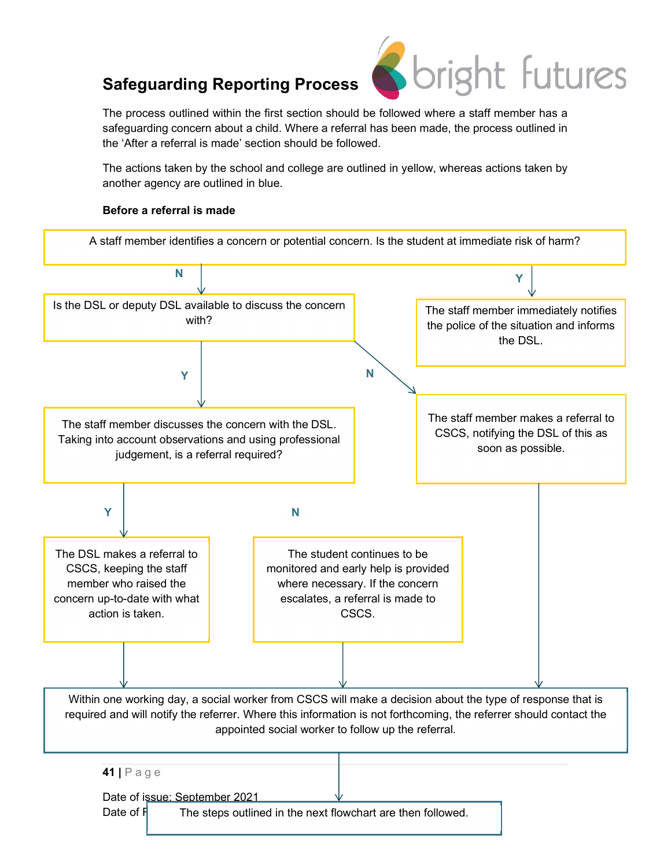

The process outlined within the first section should be followed where a staff member has a safeguarding concern about a child. Where a referral has been made, the process outlined in the 'After a referral is made' section should be followed.

The actions taken by the school and college are outlined in yellow, whereas actions taken by another agency are outlined in blue.

### Before a referral is made